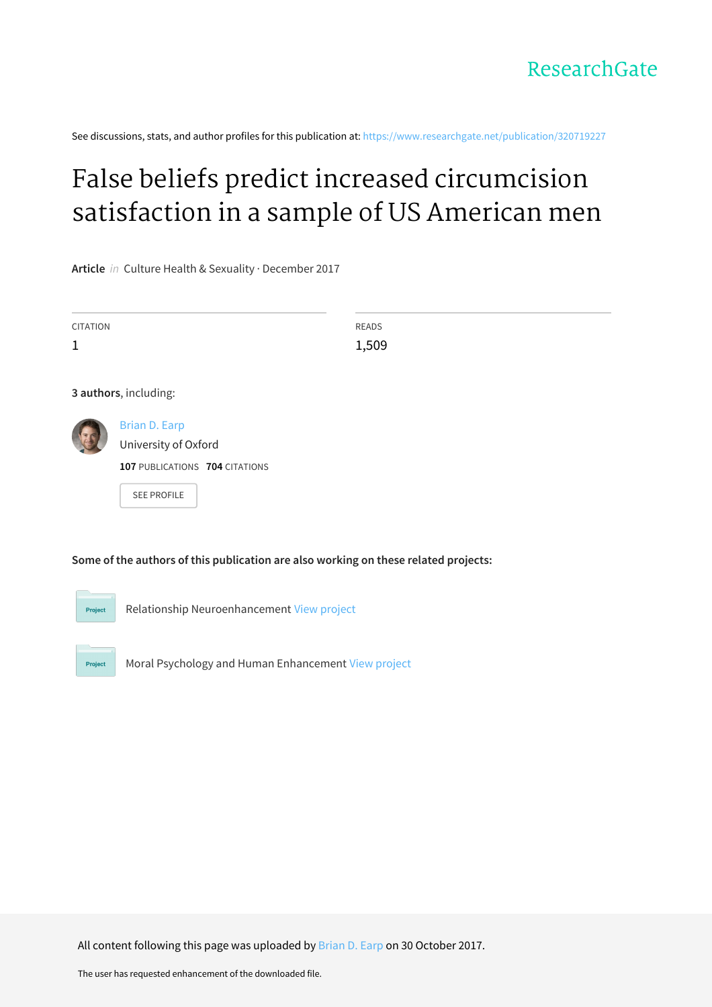See discussions, stats, and author profiles for this publication at: [https://www.researchgate.net/publication/320719227](https://www.researchgate.net/publication/320719227_False_beliefs_predict_increased_circumcision_satisfaction_in_a_sample_of_US_American_men?enrichId=rgreq-f0b479b2336949431cfdf2de602fb4d1-XXX&enrichSource=Y292ZXJQYWdlOzMyMDcxOTIyNztBUzo1NTUyMTk2Nzk0NDQ5OTJAMTUwOTM4NjA5NTE1MA%3D%3D&el=1_x_2&_esc=publicationCoverPdf)

# False beliefs predict increased [circumcision](https://www.researchgate.net/publication/320719227_False_beliefs_predict_increased_circumcision_satisfaction_in_a_sample_of_US_American_men?enrichId=rgreq-f0b479b2336949431cfdf2de602fb4d1-XXX&enrichSource=Y292ZXJQYWdlOzMyMDcxOTIyNztBUzo1NTUyMTk2Nzk0NDQ5OTJAMTUwOTM4NjA5NTE1MA%3D%3D&el=1_x_3&_esc=publicationCoverPdf) satisfaction in a sample of US American men

**Article** in Culture Health & Sexuality · December 2017

| <b>CITATION</b>       |                                                                                                      | READS |  |  |
|-----------------------|------------------------------------------------------------------------------------------------------|-------|--|--|
| $\mathbf 1$           |                                                                                                      | 1,509 |  |  |
|                       |                                                                                                      |       |  |  |
| 3 authors, including: |                                                                                                      |       |  |  |
|                       | <b>Brian D. Earp</b><br>University of Oxford<br>107 PUBLICATIONS 704 CITATIONS<br><b>SEE PROFILE</b> |       |  |  |
|                       |                                                                                                      |       |  |  |

**Some of the authors of this publication are also working on these related projects:**



Relationship Neuroenhancement View [project](https://www.researchgate.net/project/Relationship-Neuroenhancement?enrichId=rgreq-f0b479b2336949431cfdf2de602fb4d1-XXX&enrichSource=Y292ZXJQYWdlOzMyMDcxOTIyNztBUzo1NTUyMTk2Nzk0NDQ5OTJAMTUwOTM4NjA5NTE1MA%3D%3D&el=1_x_9&_esc=publicationCoverPdf)

Project

Moral Psychology and Human Enhancement View [project](https://www.researchgate.net/project/Moral-Psychology-and-Human-Enhancement?enrichId=rgreq-f0b479b2336949431cfdf2de602fb4d1-XXX&enrichSource=Y292ZXJQYWdlOzMyMDcxOTIyNztBUzo1NTUyMTk2Nzk0NDQ5OTJAMTUwOTM4NjA5NTE1MA%3D%3D&el=1_x_9&_esc=publicationCoverPdf)

All content following this page was uploaded by [Brian](https://www.researchgate.net/profile/Brian_Earp?enrichId=rgreq-f0b479b2336949431cfdf2de602fb4d1-XXX&enrichSource=Y292ZXJQYWdlOzMyMDcxOTIyNztBUzo1NTUyMTk2Nzk0NDQ5OTJAMTUwOTM4NjA5NTE1MA%3D%3D&el=1_x_10&_esc=publicationCoverPdf) D. Earp on 30 October 2017.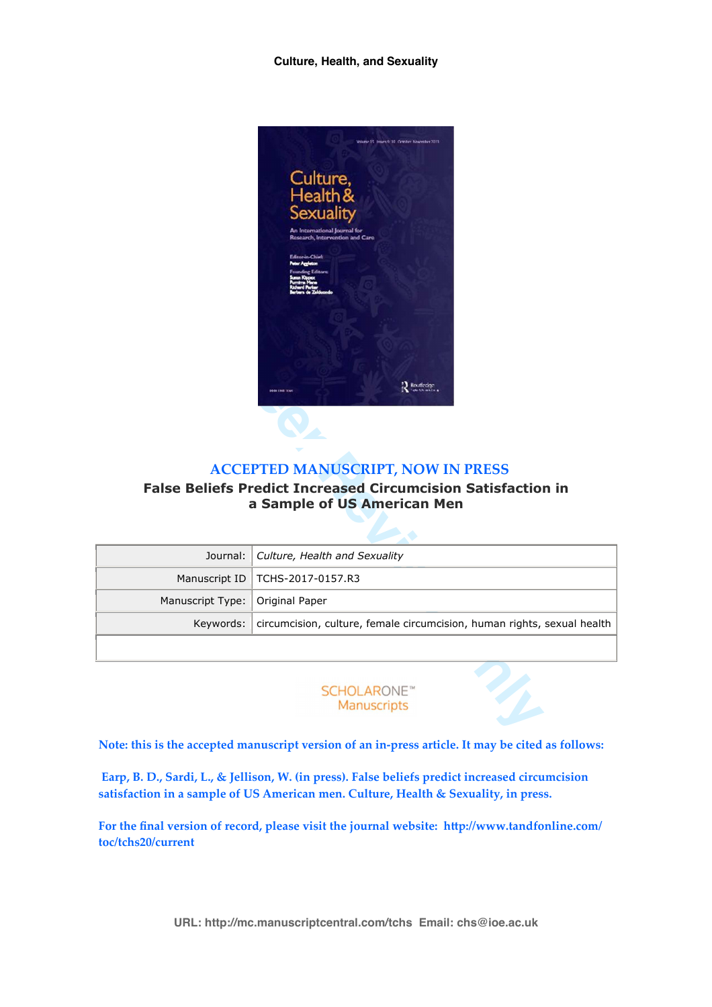#### **Culture, Health, and Sexuality**



# **ACCEPTED MANUSCRIPT, NOW IN PRESS**

# **False Beliefs Predict Increased Circumcision Satisfaction in a Sample of US American Men**

| Routledge<br><b>ACCEPTED MANUSCRIPT, NOW IN PRESS</b><br><b>False Beliefs Predict Increased Circumcision Satisfaction in</b><br>a Sample of US American Men |                                                                         |  |  |  |  |
|-------------------------------------------------------------------------------------------------------------------------------------------------------------|-------------------------------------------------------------------------|--|--|--|--|
|                                                                                                                                                             |                                                                         |  |  |  |  |
| Journal:                                                                                                                                                    | Culture, Health and Sexuality                                           |  |  |  |  |
| Manuscript ID                                                                                                                                               | TCHS-2017-0157.R3                                                       |  |  |  |  |
| Manuscript Type:                                                                                                                                            | Original Paper                                                          |  |  |  |  |
| Keywords:                                                                                                                                                   | circumcision, culture, female circumcision, human rights, sexual health |  |  |  |  |

#### **Note: this is the accepted manuscript version of an in-press article. It may be cited as follows:**

 **Earp, B. D., Sardi, L., & Jellison, W. (in press). False beliefs predict increased circumcision satisfaction in a sample of US American men. Culture, Health & Sexuality, in press.**

For the final version of record, please visit the journal website: http://www.tandfonline.com/ **toc/tchs20/current**

**URL: http://mc.manuscriptcentral.com/tchs Email: chs@ioe.ac.uk**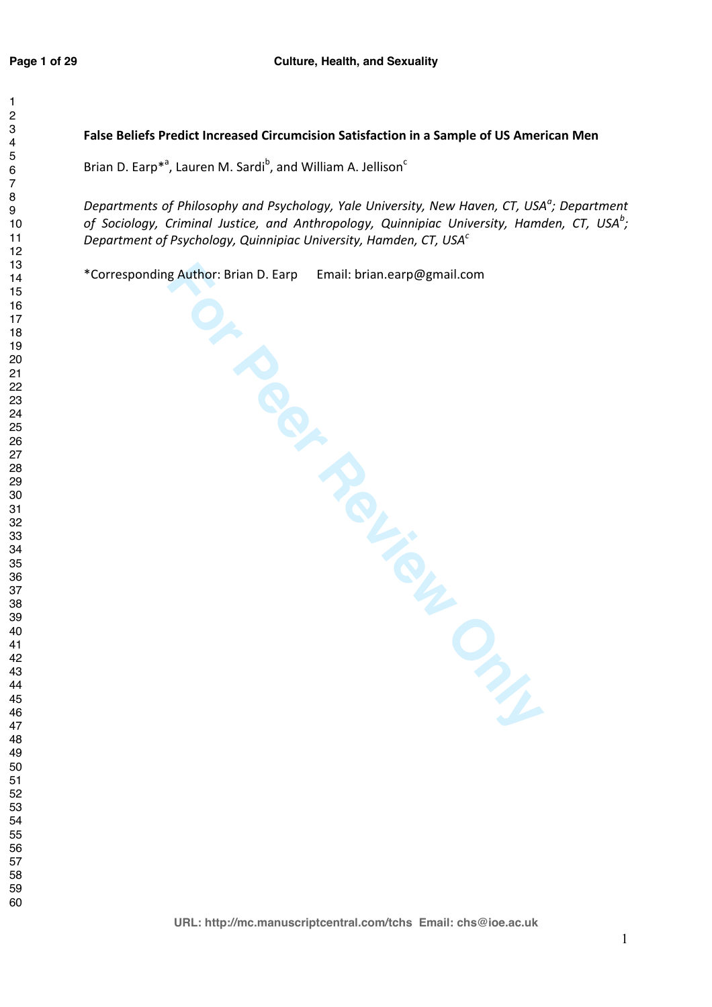## **False Beliefs Predict Increased Circumcision Satisfaction in a Sample of US American Men**

Brian D. Earp<sup>\*</sup><sup>a</sup>, Lauren M. Sardi<sup>b</sup>, and William A. Jellison<sup>c</sup> , Lauren M. Sardi<sup>b</sup>, and William A. Jellison<sup>c</sup>

*Departments of Philosophy and Psychology, Yale University, New Haven, CT, USA<sup>a</sup> Departments of Philosophy and Psychology, Yale University, New Haven, CT, USA<sup>a</sup>; Department of Sociology, Criminal Justice, and Anthropology, Quinnipiac University, Hamden, CT, USA<sup>b</sup>* of Sociology, Criminal Justice, and Anthropology, Quinnipiac University, Hamden, CT, USA<sup>b</sup>; *Department of Psychology, Quinnipiac University, Hamden, CT, USA<sup>c</sup>*

\*Corresponding Author: Brian D. Earp Email: brian.earp@gmail.com

**Faulthor: Brian D. Earp Email: brian.earp@gmail.com**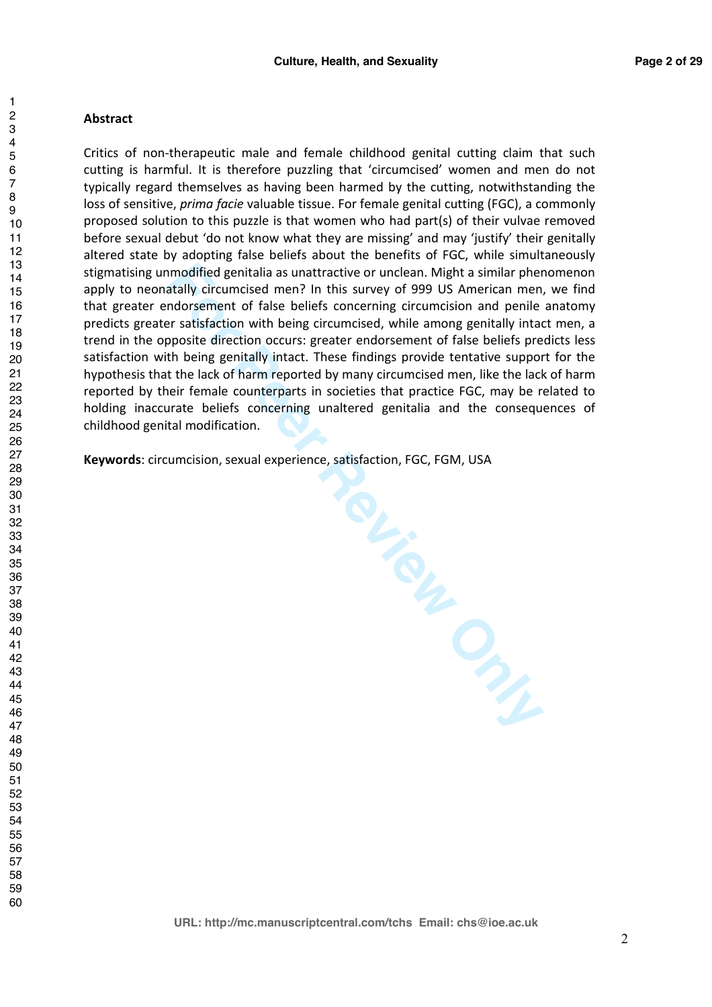#### **Abstract**

Critics of non-therapeutic male and female childhood genital cutting claim that such cutting is harmful. It is therefore puzzling that 'circumcised' women and men do not typically regard themselves as having been harmed by the cutting, notwithstanding the loss of sensitive, *prima facie* valuable tissue. For female genital cutting (FGC), a commonly proposed solution to this puzzle is that women who had part(s) of their vulvae removed before sexual debut 'do not know what they are missing' and may 'justify' their genitally altered state by adopting false beliefs about the benefits of FGC, while simultaneously stigmatising unmodified genitalia as unattractive or unclean. Might a similar phenomenon apply to neonatally circumcised men? In this survey of 999 US American men, we find that greater endorsement of false beliefs concerning circumcision and penile anatomy predicts greater satisfaction with being circumcised, while among genitally intact men, a trend in the opposite direction occurs: greater endorsement of false beliefs predicts less satisfaction with being genitally intact. These findings provide tentative support for the hypothesis that the lack of harm reported by many circumcised men, like the lack of harm reported by their female counterparts in societies that practice FGC, may be related to holding inaccurate beliefs concerning unaltered genitalia and the consequences of childhood genital modification.

**Keywords**: circumcision, sexual experience, satisfaction, FGC, FGM, USA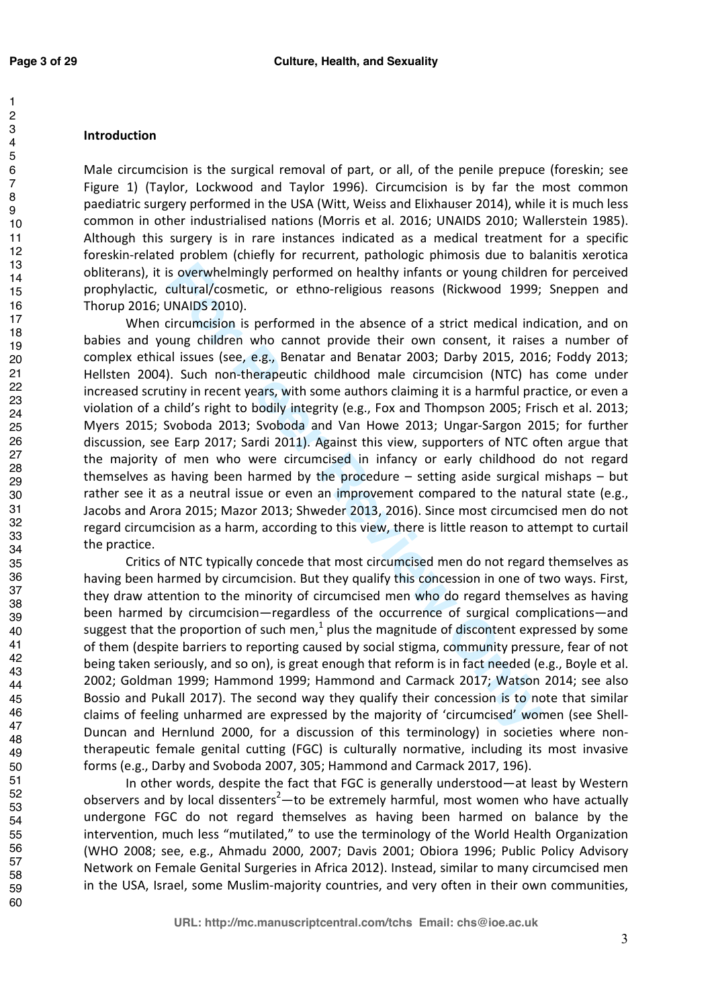# **Introduction**

Male circumcision is the surgical removal of part, or all, of the penile prepuce (foreskin; see Figure 1) (Taylor, Lockwood and Taylor 1996). Circumcision is by far the most common paediatric surgery performed in the USA (Witt, Weiss and Elixhauser 2014), while it is much less common in other industrialised nations (Morris et al. 2016; UNAIDS 2010; Wallerstein 1985). Although this surgery is in rare instances indicated as a medical treatment for a specific foreskin-related problem (chiefly for recurrent, pathologic phimosis due to balanitis xerotica obliterans), it is overwhelmingly performed on healthy infants or young children for perceived prophylactic, cultural/cosmetic, or ethno-religious reasons (Rickwood 1999; Sneppen and Thorup 2016; UNAIDS 2010).

**Follow Syncomously performed on healthy infants or young childrer (altratival/cosmetic, or ethno-religious reasons (Rickwood 1999; DNAIDS 2010).**<br> **Example 2010** (Figure 1: The absence of a strict medical indium<br>
INCNIDS When circumcision is performed in the absence of a strict medical indication, and on babies and young children who cannot provide their own consent, it raises a number of complex ethical issues (see, e.g., Benatar and Benatar 2003; Darby 2015, 2016; Foddy 2013; Hellsten 2004). Such non-therapeutic childhood male circumcision (NTC) has come under increased scrutiny in recent years, with some authors claiming it is a harmful practice, or even a violation of a child's right to bodily integrity (e.g., Fox and Thompson 2005; Frisch et al. 2013; Myers 2015; Svoboda 2013; Svoboda and Van Howe 2013; Ungar-Sargon 2015; for further discussion, see Earp 2017; Sardi 2011). Against this view, supporters of NTC often argue that the majority of men who were circumcised in infancy or early childhood do not regard themselves as having been harmed by the procedure  $-$  setting aside surgical mishaps  $-$  but rather see it as a neutral issue or even an improvement compared to the natural state (e.g., Jacobs and Arora 2015; Mazor 2013; Shweder 2013, 2016). Since most circumcised men do not regard circumcision as a harm, according to this view, there is little reason to attempt to curtail the practice.

 Critics of NTC typically concede that most circumcised men do not regard themselves as having been harmed by circumcision. But they qualify this concession in one of two ways. First, they draw attention to the minority of circumcised men who do regard themselves as having been harmed by circumcision—regardless of the occurrence of surgical complications—and suggest that the proportion of such men,<sup>1</sup> plus the magnitude of discontent expressed by some of them (despite barriers to reporting caused by social stigma, community pressure, fear of not being taken seriously, and so on), is great enough that reform is in fact needed (e.g., Boyle et al. 2002; Goldman 1999; Hammond 1999; Hammond and Carmack 2017; Watson 2014; see also Bossio and Pukall 2017). The second way they qualify their concession is to note that similar claims of feeling unharmed are expressed by the majority of 'circumcised' women (see Shell-Duncan and Hernlund 2000, for a discussion of this terminology) in societies where nontherapeutic female genital cutting (FGC) is culturally normative, including its most invasive forms (e.g., Darby and Svoboda 2007, 305; Hammond and Carmack 2017, 196).

In other words, despite the fact that FGC is generally understood—at least by Western observers and by local dissenters<sup>2</sup>—to be extremely harmful, most women who have actually undergone FGC do not regard themselves as having been harmed on balance by the intervention, much less "mutilated," to use the terminology of the World Health Organization (WHO 2008; see, e.g., Ahmadu 2000, 2007; Davis 2001; Obiora 1996; Public Policy Advisory Network on Female Genital Surgeries in Africa 2012). Instead, similar to many circumcised men in the USA, Israel, some Muslim-majority countries, and very often in their own communities,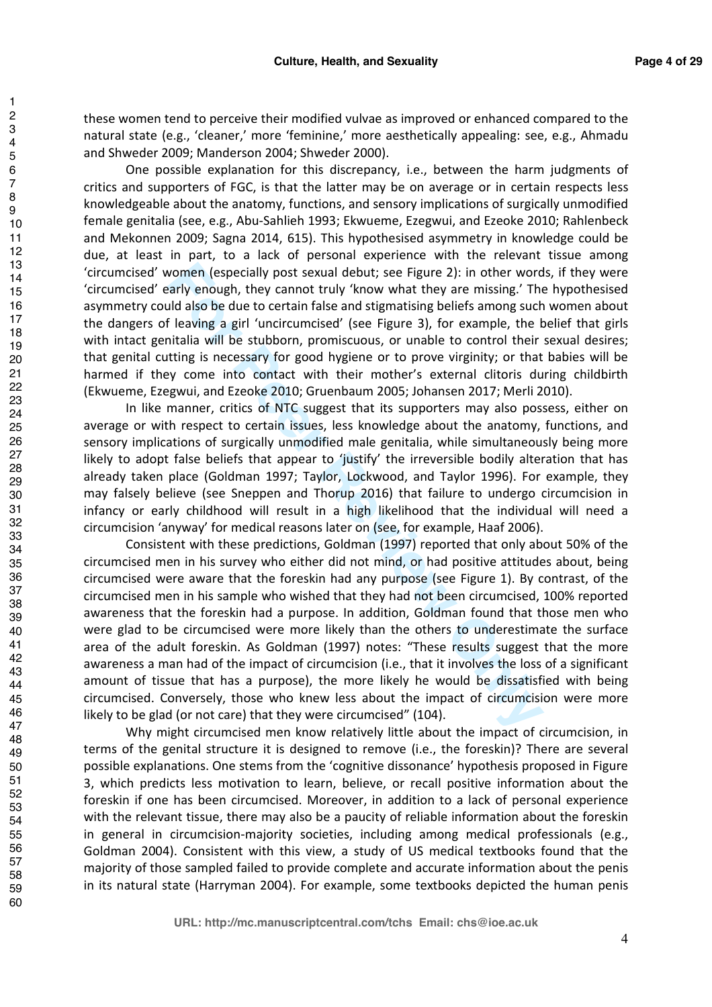these women tend to perceive their modified vulvae as improved or enhanced compared to the natural state (e.g., 'cleaner,' more 'feminine,' more aesthetically appealing: see, e.g., Ahmadu and Shweder 2009; Manderson 2004; Shweder 2000).

 One possible explanation for this discrepancy, i.e., between the harm judgments of critics and supporters of FGC, is that the latter may be on average or in certain respects less knowledgeable about the anatomy, functions, and sensory implications of surgically unmodified female genitalia (see, e.g., Abu-Sahlieh 1993; Ekwueme, Ezegwui, and Ezeoke 2010; Rahlenbeck and Mekonnen 2009; Sagna 2014, 615). This hypothesised asymmetry in knowledge could be due, at least in part, to a lack of personal experience with the relevant tissue among 'circumcised' women (especially post sexual debut; see Figure 2): in other words, if they were 'circumcised' early enough, they cannot truly 'know what they are missing.' The hypothesised asymmetry could also be due to certain false and stigmatising beliefs among such women about the dangers of leaving a girl 'uncircumcised' (see Figure 3), for example, the belief that girls with intact genitalia will be stubborn, promiscuous, or unable to control their sexual desires; that genital cutting is necessary for good hygiene or to prove virginity; or that babies will be harmed if they come into contact with their mother's external clitoris during childbirth (Ekwueme, Ezegwui, and Ezeoke 2010; Gruenbaum 2005; Johansen 2017; Merli 2010).

In like manner, critics of NTC suggest that its supporters may also possess, either on average or with respect to certain issues, less knowledge about the anatomy, functions, and sensory implications of surgically unmodified male genitalia, while simultaneously being more likely to adopt false beliefs that appear to 'justify' the irreversible bodily alteration that has already taken place (Goldman 1997; Taylor, Lockwood, and Taylor 1996). For example, they may falsely believe (see Sneppen and Thorup 2016) that failure to undergo circumcision in infancy or early childhood will result in a high likelihood that the individual will need a circumcision 'anyway' for medical reasons later on (see, for example, Haaf 2006).

**Example (especially post sexual debut; see Figure 2):** in other word<br>arly enough, they cannot truly 'know what they are missing.' The<br>lid also be due to certain false and stignantising beliefs among such<br>If leaving a girl Consistent with these predictions, Goldman (1997) reported that only about 50% of the circumcised men in his survey who either did not mind, or had positive attitudes about, being circumcised were aware that the foreskin had any purpose (see Figure 1). By contrast, of the circumcised men in his sample who wished that they had not been circumcised, 100% reported awareness that the foreskin had a purpose. In addition, Goldman found that those men who were glad to be circumcised were more likely than the others to underestimate the surface area of the adult foreskin. As Goldman (1997) notes: "These results suggest that the more awareness a man had of the impact of circumcision (i.e., that it involves the loss of a significant amount of tissue that has a purpose), the more likely he would be dissatisfied with being circumcised. Conversely, those who knew less about the impact of circumcision were more likely to be glad (or not care) that they were circumcised" (104).

Why might circumcised men know relatively little about the impact of circumcision, in terms of the genital structure it is designed to remove (i.e., the foreskin)? There are several possible explanations. One stems from the 'cognitive dissonance' hypothesis proposed in Figure 3, which predicts less motivation to learn, believe, or recall positive information about the foreskin if one has been circumcised. Moreover, in addition to a lack of personal experience with the relevant tissue, there may also be a paucity of reliable information about the foreskin in general in circumcision-majority societies, including among medical professionals (e.g., Goldman 2004). Consistent with this view, a study of US medical textbooks found that the majority of those sampled failed to provide complete and accurate information about the penis in its natural state (Harryman 2004). For example, some textbooks depicted the human penis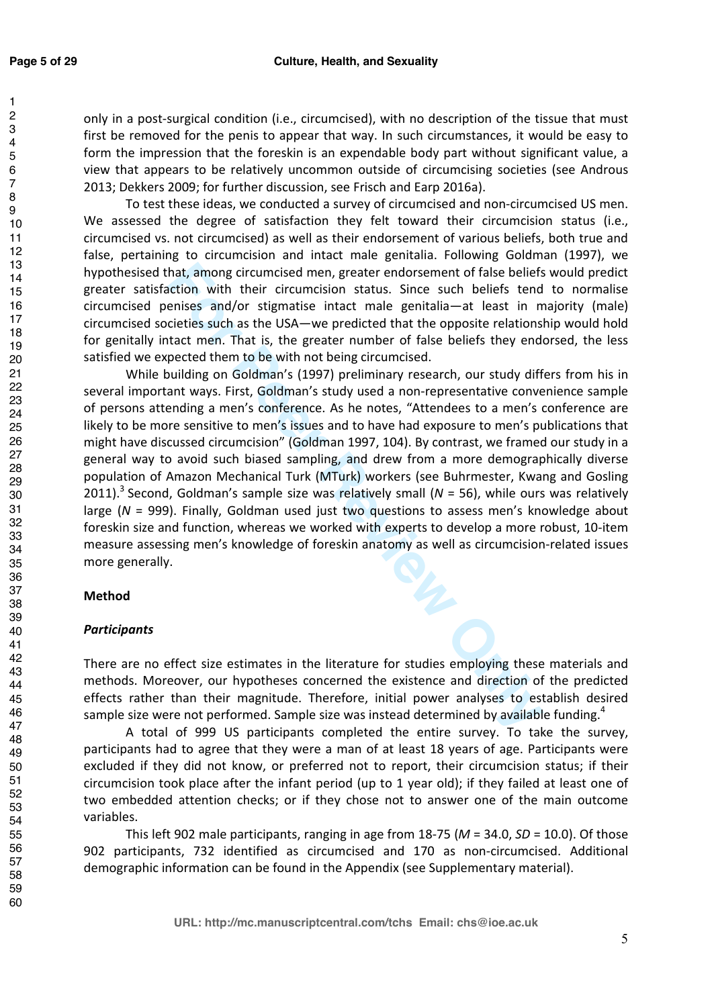only in a post-surgical condition (i.e., circumcised), with no description of the tissue that must first be removed for the penis to appear that way. In such circumstances, it would be easy to form the impression that the foreskin is an expendable body part without significant value, a view that appears to be relatively uncommon outside of circumcising societies (see Androus 2013; Dekkers 2009; for further discussion, see Frisch and Earp 2016a).

 To test these ideas, we conducted a survey of circumcised and non-circumcised US men. We assessed the degree of satisfaction they felt toward their circumcision status (i.e., circumcised vs. not circumcised) as well as their endorsement of various beliefs, both true and false, pertaining to circumcision and intact male genitalia. Following Goldman (1997), we hypothesised that, among circumcised men, greater endorsement of false beliefs would predict greater satisfaction with their circumcision status. Since such beliefs tend to normalise circumcised penises and/or stigmatise intact male genitalia—at least in majority (male) circumcised societies such as the USA—we predicted that the opposite relationship would hold for genitally intact men. That is, the greater number of false beliefs they endorsed, the less satisfied we expected them to be with not being circumcised.

hat, among circumcised men, greater endorsement of false beliefs<br>
to that, among circumcision status. Since such beliefs tend<br>
enies and/or stigmatise intact male genitalia—at least in im<br>
circles such as the USA—we predic While building on Goldman's (1997) preliminary research, our study differs from his in several important ways. First, Goldman's study used a non-representative convenience sample of persons attending a men's conference. As he notes, "Attendees to a men's conference are likely to be more sensitive to men's issues and to have had exposure to men's publications that might have discussed circumcision" (Goldman 1997, 104). By contrast, we framed our study in a general way to avoid such biased sampling, and drew from a more demographically diverse population of Amazon Mechanical Turk (MTurk) workers (see Buhrmester, Kwang and Gosling 2011).<sup>3</sup> Second, Goldman's sample size was relatively small ( $N = 56$ ), while ours was relatively large (*N* = 999). Finally, Goldman used just two questions to assess men's knowledge about foreskin size and function, whereas we worked with experts to develop a more robust, 10-item measure assessing men's knowledge of foreskin anatomy as well as circumcision-related issues more generally.

# **Method**

# *Participants*

There are no effect size estimates in the literature for studies employing these materials and methods. Moreover, our hypotheses concerned the existence and direction of the predicted effects rather than their magnitude. Therefore, initial power analyses to establish desired sample size were not performed. Sample size was instead determined by available funding.<sup>4</sup>

A total of 999 US participants completed the entire survey. To take the survey, participants had to agree that they were a man of at least 18 years of age. Participants were excluded if they did not know, or preferred not to report, their circumcision status; if their circumcision took place after the infant period (up to 1 year old); if they failed at least one of two embedded attention checks; or if they chose not to answer one of the main outcome variables.

This left 902 male participants, ranging in age from 18-75 (*M* = 34.0, *SD* = 10.0). Of those 902 participants, 732 identified as circumcised and 170 as non-circumcised. Additional demographic information can be found in the Appendix (see Supplementary material).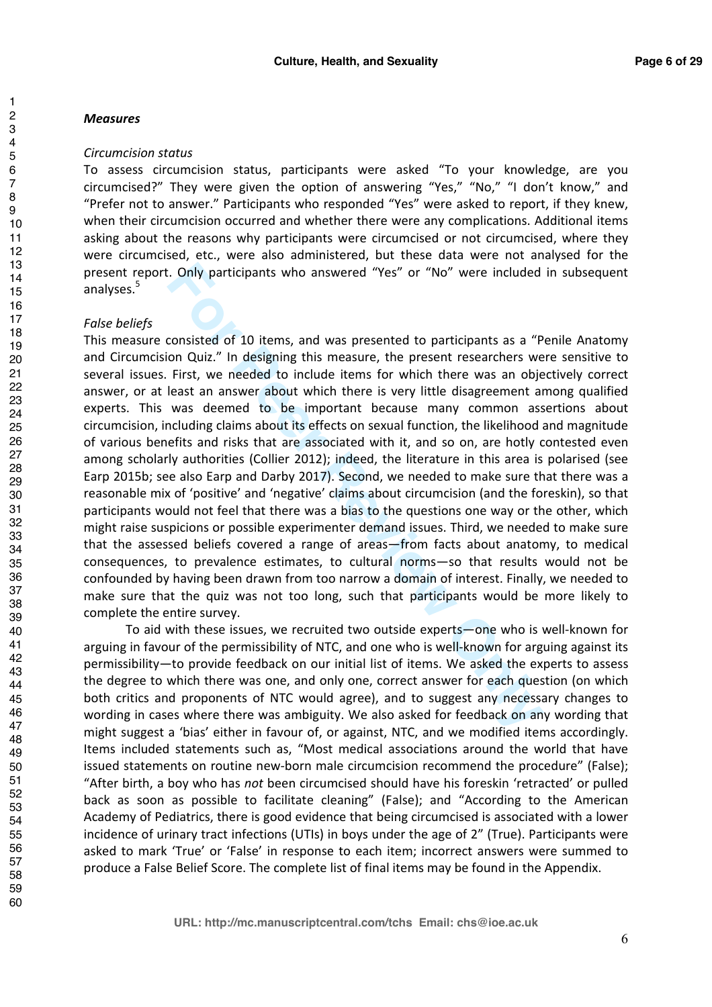#### *Measures*

#### *Circumcision status*

To assess circumcision status, participants were asked "To your knowledge, are you circumcised?" They were given the option of answering "Yes," "No," "I don't know," and "Prefer not to answer." Participants who responded "Yes" were asked to report, if they knew, when their circumcision occurred and whether there were any complications. Additional items asking about the reasons why participants were circumcised or not circumcised, where they were circumcised, etc., were also administered, but these data were not analysed for the present report. Only participants who answered "Yes" or "No" were included in subsequent analyses.<sup>5</sup>

#### *False beliefs*

**Example 10** and was merrical "Yes" or "No" were included<br>
consisted of 10 items, and was presented to participants as a "P<br>
on Quiz." In designing this measure, the present researchers we<br>
First, we needed to include item This measure consisted of 10 items, and was presented to participants as a "Penile Anatomy and Circumcision Quiz." In designing this measure, the present researchers were sensitive to several issues. First, we needed to include items for which there was an objectively correct answer, or at least an answer about which there is very little disagreement among qualified experts. This was deemed to be important because many common assertions about circumcision, including claims about its effects on sexual function, the likelihood and magnitude of various benefits and risks that are associated with it, and so on, are hotly contested even among scholarly authorities (Collier 2012); indeed, the literature in this area is polarised (see Earp 2015b; see also Earp and Darby 2017). Second, we needed to make sure that there was a reasonable mix of 'positive' and 'negative' claims about circumcision (and the foreskin), so that participants would not feel that there was a bias to the questions one way or the other, which might raise suspicions or possible experimenter demand issues. Third, we needed to make sure that the assessed beliefs covered a range of areas—from facts about anatomy, to medical consequences, to prevalence estimates, to cultural norms—so that results would not be confounded by having been drawn from too narrow a domain of interest. Finally, we needed to make sure that the quiz was not too long, such that participants would be more likely to complete the entire survey.

 To aid with these issues, we recruited two outside experts—one who is well-known for arguing in favour of the permissibility of NTC, and one who is well-known for arguing against its permissibility—to provide feedback on our initial list of items. We asked the experts to assess the degree to which there was one, and only one, correct answer for each question (on which both critics and proponents of NTC would agree), and to suggest any necessary changes to wording in cases where there was ambiguity. We also asked for feedback on any wording that might suggest a 'bias' either in favour of, or against, NTC, and we modified items accordingly. Items included statements such as, "Most medical associations around the world that have issued statements on routine new-born male circumcision recommend the procedure" (False); "After birth, a boy who has *not* been circumcised should have his foreskin 'retracted' or pulled back as soon as possible to facilitate cleaning" (False); and "According to the American Academy of Pediatrics, there is good evidence that being circumcised is associated with a lower incidence of urinary tract infections (UTIs) in boys under the age of 2" (True). Participants were asked to mark 'True' or 'False' in response to each item; incorrect answers were summed to produce a False Belief Score. The complete list of final items may be found in the Appendix.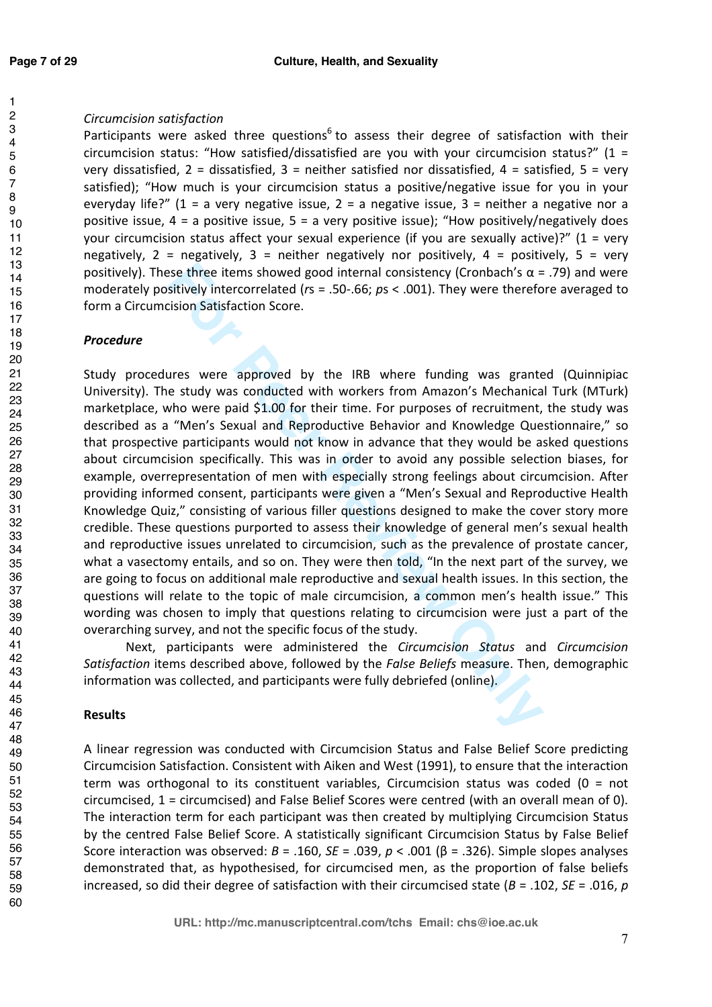# *Circumcision satisfaction*

Participants were asked three questions<sup>6</sup> to assess their degree of satisfaction with their circumcision status: "How satisfied/dissatisfied are you with your circumcision status?"  $(1 =$ very dissatisfied,  $2 =$  dissatisfied,  $3 =$  neither satisfied nor dissatisfied,  $4 =$  satisfied,  $5 =$  very satisfied); "How much is your circumcision status a positive/negative issue for you in your everyday life?" (1 = a very negative issue, 2 = a negative issue, 3 = neither a negative nor a positive issue,  $4 = a$  positive issue,  $5 = a$  very positive issue); "How positively/negatively does your circumcision status affect your sexual experience (if you are sexually active)?" (1 = very negatively,  $2$  = negatively,  $3$  = neither negatively nor positively,  $4$  = positively,  $5$  = very positively). These three items showed good internal consistency (Cronbach's α = .79) and were moderately positively intercorrelated (*r*s = .50-.66; *p*s < .001). They were therefore averaged to form a Circumcision Satisfaction Score.

# *Procedure*

Free items showed good internal consistency (Cronbach's α = sitively intercorrelated (rs = .50-.66; *ps* < .001). They were therefore is stincely intercorrelated (rs = .50-.66; *ps* < .001). They were therefore is the sym Study procedures were approved by the IRB where funding was granted (Quinnipiac University). The study was conducted with workers from Amazon's Mechanical Turk (MTurk) marketplace, who were paid \$1.00 for their time. For purposes of recruitment, the study was described as a "Men's Sexual and Reproductive Behavior and Knowledge Questionnaire," so that prospective participants would not know in advance that they would be asked questions about circumcision specifically. This was in order to avoid any possible selection biases, for example, overrepresentation of men with especially strong feelings about circumcision. After providing informed consent, participants were given a "Men's Sexual and Reproductive Health Knowledge Quiz," consisting of various filler questions designed to make the cover story more credible. These questions purported to assess their knowledge of general men's sexual health and reproductive issues unrelated to circumcision, such as the prevalence of prostate cancer, what a vasectomy entails, and so on. They were then told, "In the next part of the survey, we are going to focus on additional male reproductive and sexual health issues. In this section, the questions will relate to the topic of male circumcision, a common men's health issue." This wording was chosen to imply that questions relating to circumcision were just a part of the overarching survey, and not the specific focus of the study.

Next, participants were administered the *Circumcision Status* and *Circumcision Satisfaction* items described above, followed by the *False Beliefs* measure. Then, demographic information was collected, and participants were fully debriefed (online).

# **Results**

A linear regression was conducted with Circumcision Status and False Belief Score predicting Circumcision Satisfaction. Consistent with Aiken and West (1991), to ensure that the interaction term was orthogonal to its constituent variables, Circumcision status was coded (0 = not circumcised, 1 = circumcised) and False Belief Scores were centred (with an overall mean of 0). The interaction term for each participant was then created by multiplying Circumcision Status by the centred False Belief Score. A statistically significant Circumcision Status by False Belief Score interaction was observed: *B* = .160, *SE* = .039, *p* < .001 (β = .326). Simple slopes analyses demonstrated that, as hypothesised, for circumcised men, as the proportion of false beliefs increased, so did their degree of satisfaction with their circumcised state (*B* = .102, *SE* = .016, *p*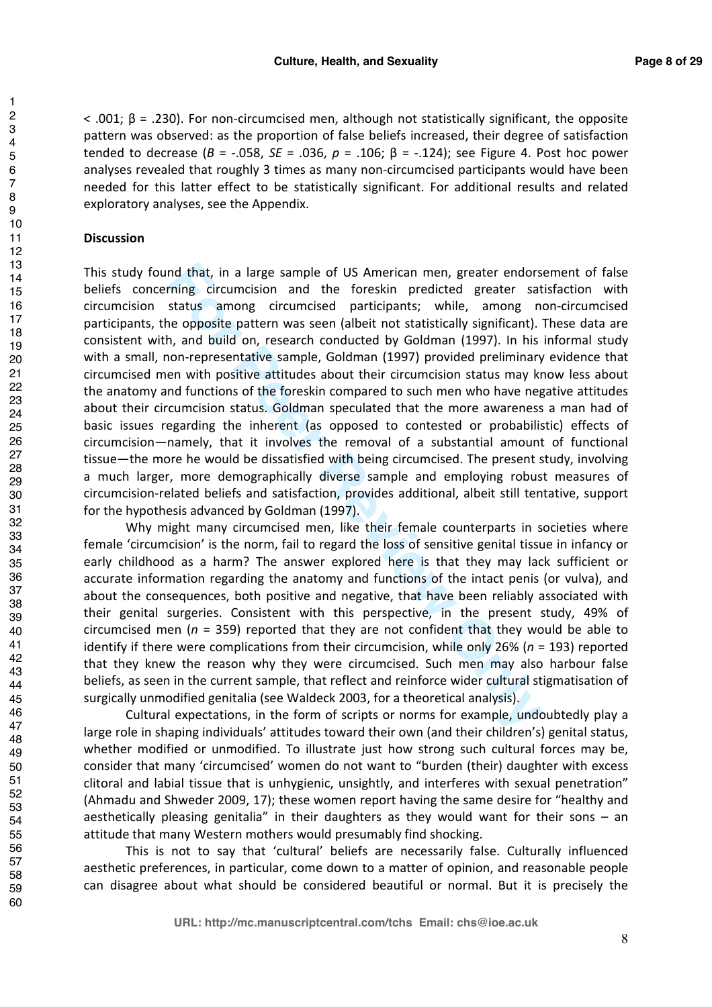< .001; β = .230). For non-circumcised men, although not statistically significant, the opposite pattern was observed: as the proportion of false beliefs increased, their degree of satisfaction tended to decrease ( $B = -0.058$ ,  $SE = 0.036$ ,  $p = 0.106$ ;  $β = -0.124$ ); see Figure 4. Post hoc power analyses revealed that roughly 3 times as many non-circumcised participants would have been needed for this latter effect to be statistically significant. For additional results and related exploratory analyses, see the Appendix.

#### **Discussion**

nd that, in a large sample of US American men, greater endors<br>rining circumcision and the foreskin predicted greater sat<br>status among circumcised participants; while, among met<br>te opposite pattern was seen (albeit not stat This study found that, in a large sample of US American men, greater endorsement of false beliefs concerning circumcision and the foreskin predicted greater satisfaction with circumcision status among circumcised participants; while, among non-circumcised participants, the opposite pattern was seen (albeit not statistically significant). These data are consistent with, and build on, research conducted by Goldman (1997). In his informal study with a small, non-representative sample, Goldman (1997) provided preliminary evidence that circumcised men with positive attitudes about their circumcision status may know less about the anatomy and functions of the foreskin compared to such men who have negative attitudes about their circumcision status. Goldman speculated that the more awareness a man had of basic issues regarding the inherent (as opposed to contested or probabilistic) effects of circumcision—namely, that it involves the removal of a substantial amount of functional tissue—the more he would be dissatisfied with being circumcised. The present study, involving a much larger, more demographically diverse sample and employing robust measures of circumcision-related beliefs and satisfaction, provides additional, albeit still tentative, support for the hypothesis advanced by Goldman (1997).

Why might many circumcised men, like their female counterparts in societies where female 'circumcision' is the norm, fail to regard the loss of sensitive genital tissue in infancy or early childhood as a harm? The answer explored here is that they may lack sufficient or accurate information regarding the anatomy and functions of the intact penis (or vulva), and about the consequences, both positive and negative, that have been reliably associated with their genital surgeries. Consistent with this perspective, in the present study, 49% of circumcised men (*n* = 359) reported that they are not confident that they would be able to identify if there were complications from their circumcision, while only 26% (*n* = 193) reported that they knew the reason why they were circumcised. Such men may also harbour false beliefs, as seen in the current sample, that reflect and reinforce wider cultural stigmatisation of surgically unmodified genitalia (see Waldeck 2003, for a theoretical analysis).

Cultural expectations, in the form of scripts or norms for example, undoubtedly play a large role in shaping individuals' attitudes toward their own (and their children's) genital status, whether modified or unmodified. To illustrate just how strong such cultural forces may be, consider that many 'circumcised' women do not want to "burden (their) daughter with excess clitoral and labial tissue that is unhygienic, unsightly, and interferes with sexual penetration" (Ahmadu and Shweder 2009, 17); these women report having the same desire for "healthy and aesthetically pleasing genitalia" in their daughters as they would want for their sons  $-$  an attitude that many Western mothers would presumably find shocking.

This is not to say that 'cultural' beliefs are necessarily false. Culturally influenced aesthetic preferences, in particular, come down to a matter of opinion, and reasonable people can disagree about what should be considered beautiful or normal. But it is precisely the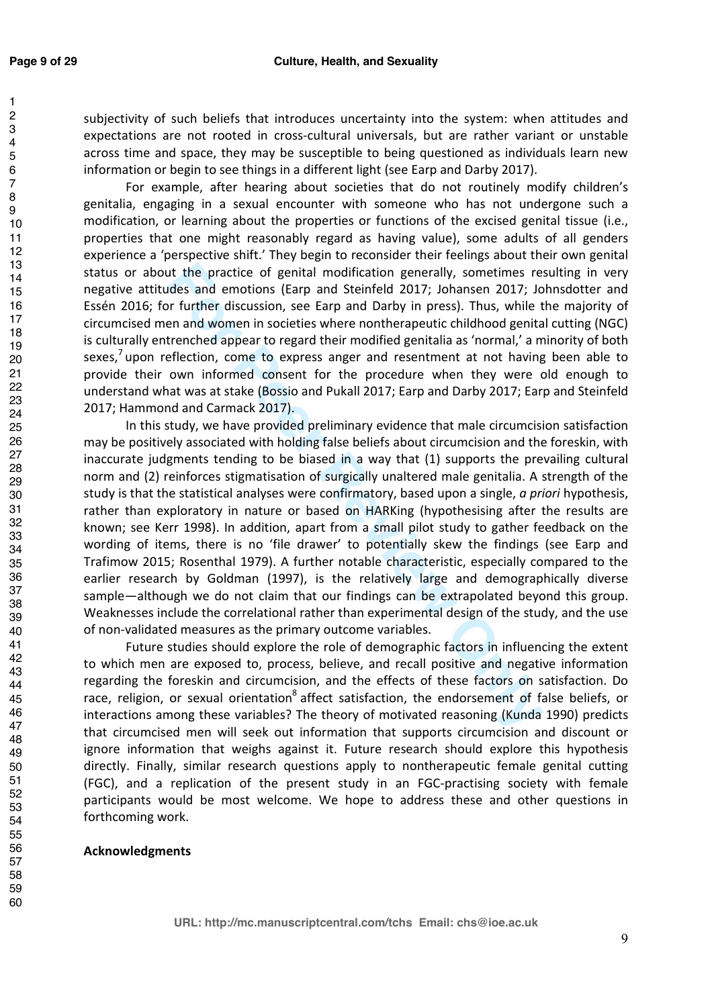#### **Culture, Health, and Sexuality**

subjectivity of such beliefs that introduces uncertainty into the system: when attitudes and expectations are not rooted in cross-cultural universals, but are rather variant or unstable across time and space, they may be susceptible to being questioned as individuals learn new information or begin to see things in a different light (see Earp and Darby 2017).

For example, after hearing about societies that do not routinely modify children's genitalia, engaging in a sexual encounter with someone who has not undergone such a modification, or learning about the properties or functions of the excised genital tissue (i.e., properties that one might reasonably regard as having value), some adults of all genders experience a 'perspective shift.' They begin to reconsider their feelings about their own genital status or about the practice of genital modification generally, sometimes resulting in very negative attitudes and emotions (Earp and Steinfeld 2017; Johansen 2017; Johnsdotter and Essén 2016; for further discussion, see Earp and Darby in press). Thus, while the majority of circumcised men and women in societies where nontherapeutic childhood genital cutting (NGC) is culturally entrenched appear to regard their modified genitalia as 'normal,' a minority of both sexes,<sup>7</sup> upon reflection, come to express anger and resentment at not having been able to provide their own informed consent for the procedure when they were old enough to understand what was at stake (Bossio and Pukall 2017; Earp and Darby 2017; Earp and Steinfeld 2017; Hammond and Carmack 2017).

It the practice of genital modification generally, sometimes reades and emotions (Earp and Steinfeld 2017; Johansen 2017; Johansen 2017; Johansen 2017; Johansen 2017; Johansen 2017; Johansen 2017; Johansen 2017; Johansen 2 In this study, we have provided preliminary evidence that male circumcision satisfaction may be positively associated with holding false beliefs about circumcision and the foreskin, with inaccurate judgments tending to be biased in a way that (1) supports the prevailing cultural norm and (2) reinforces stigmatisation of surgically unaltered male genitalia. A strength of the study is that the statistical analyses were confirmatory, based upon a single, *a priori* hypothesis, rather than exploratory in nature or based on HARKing (hypothesising after the results are known; see Kerr 1998). In addition, apart from a small pilot study to gather feedback on the wording of items, there is no 'file drawer' to potentially skew the findings (see Earp and Trafimow 2015; Rosenthal 1979). A further notable characteristic, especially compared to the earlier research by Goldman (1997), is the relatively large and demographically diverse sample—although we do not claim that our findings can be extrapolated beyond this group. Weaknesses include the correlational rather than experimental design of the study, and the use of non-validated measures as the primary outcome variables.

Future studies should explore the role of demographic factors in influencing the extent to which men are exposed to, process, believe, and recall positive and negative information regarding the foreskin and circumcision, and the effects of these factors on satisfaction. Do race, religion, or sexual orientation<sup>8</sup> affect satisfaction, the endorsement of false beliefs, or interactions among these variables? The theory of motivated reasoning (Kunda 1990) predicts that circumcised men will seek out information that supports circumcision and discount or ignore information that weighs against it. Future research should explore this hypothesis directly. Finally, similar research questions apply to nontherapeutic female genital cutting (FGC), and a replication of the present study in an FGC-practising society with female participants would be most welcome. We hope to address these and other questions in forthcoming work.

#### **Acknowledgments**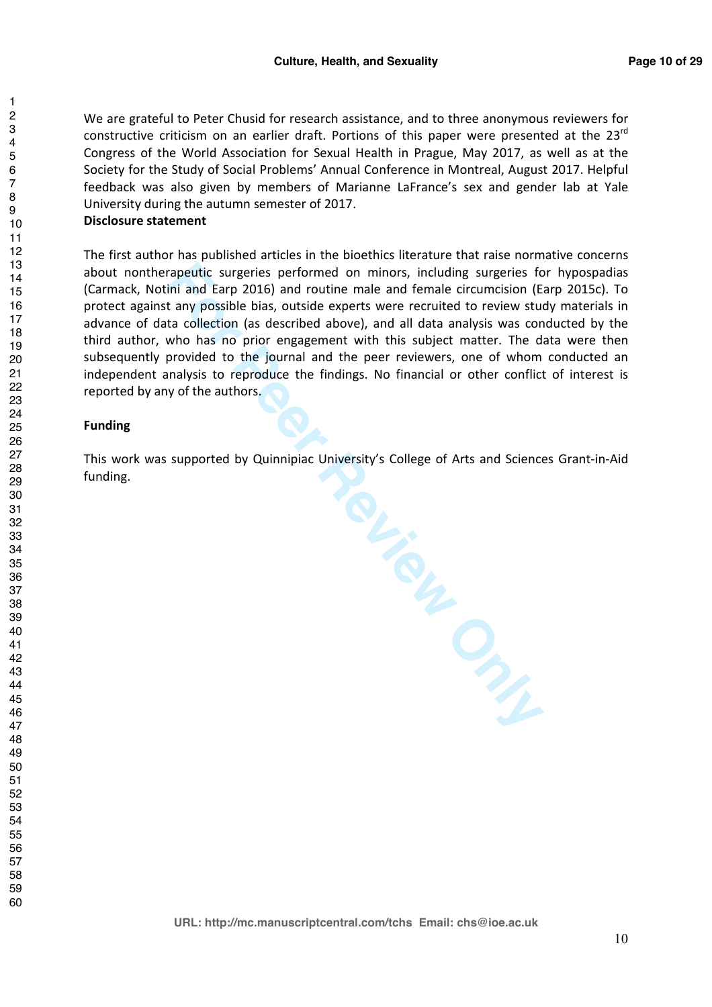We are grateful to Peter Chusid for research assistance, and to three anonymous reviewers for constructive criticism on an earlier draft. Portions of this paper were presented at the  $23<sup>rd</sup>$ Congress of the World Association for Sexual Health in Prague, May 2017, as well as at the Society for the Study of Social Problems' Annual Conference in Montreal, August 2017. Helpful feedback was also given by members of Marianne LaFrance's sex and gender lab at Yale University during the autumn semester of 2017.

#### **Disclosure statement**

The first author has published articles in the bioethics literature that raise normative concerns about nontherapeutic surgeries performed on minors, including surgeries for hypospadias (Carmack, Notini and Earp 2016) and routine male and female circumcision (Earp 2015c). To protect against any possible bias, outside experts were recruited to review study materials in advance of data collection (as described above), and all data analysis was conducted by the third author, who has no prior engagement with this subject matter. The data were then subsequently provided to the journal and the peer reviewers, one of whom conducted an independent analysis to reproduce the findings. No financial or other conflict of interest is reported by any of the authors.

#### **Funding**

This work was supported by Quinnipiac University's College of Arts and Sciences Grant-in-Aid funding.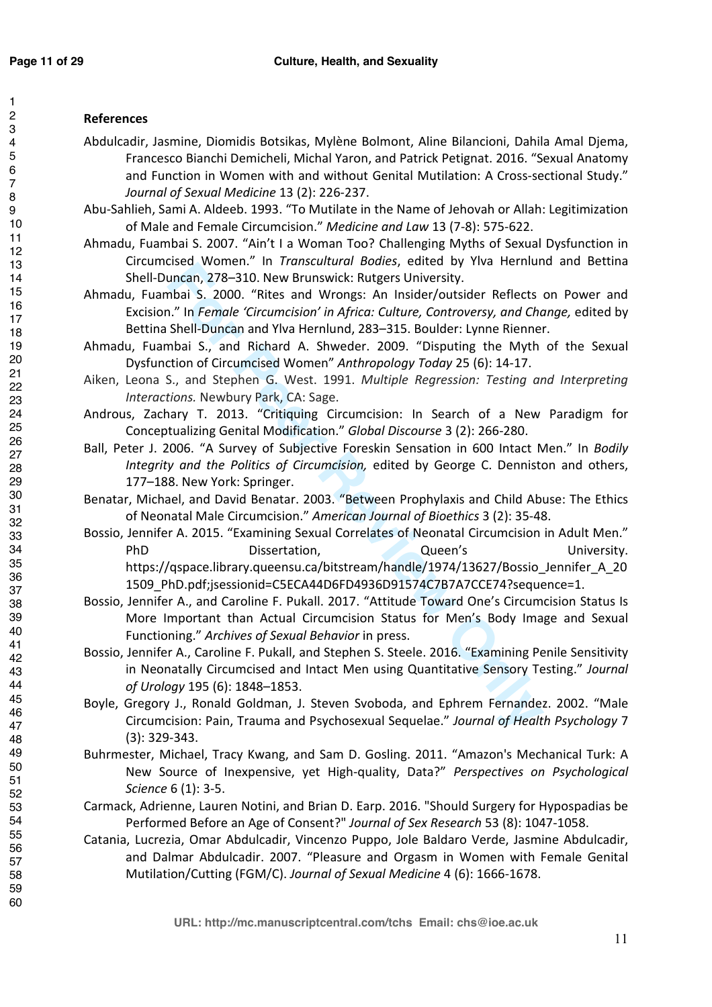#### 2 3 4 5 6 7 8 9 10 11 12 13 14 15 16 17 18 19 20 21 22 23 24 25 26 27 28 29 30 31 32 33 34 35 36 37 38 39 40 41 42 43 44 45 46 47 48 49 50 51 52 53 54 55 56 57 58 59 60

# **References**

- Abdulcadir, Jasmine, Diomidis Botsikas, Mylène Bolmont, Aline Bilancioni, Dahila Amal Djema, Francesco Bianchi Demicheli, Michal Yaron, and Patrick Petignat. 2016. "Sexual Anatomy and Function in Women with and without Genital Mutilation: A Cross-sectional Study." *Journal of Sexual Medicine* 13 (2): 226-237.
- Abu-Sahlieh, Sami A. Aldeeb. 1993. "To Mutilate in the Name of Jehovah or Allah: Legitimization of Male and Female Circumcision." *Medicine and Law* 13 (7-8): 575-622.
- Ahmadu, Fuambai S. 2007. "Ain't I a Woman Too? Challenging Myths of Sexual Dysfunction in Circumcised Women." In *Transcultural Bodies*, edited by Ylva Hernlund and Bettina Shell-Duncan, 278–310. New Brunswick: Rutgers University.
- Ahmadu, Fuambai S. 2000. "Rites and Wrongs: An Insider/outsider Reflects on Power and Excision." In *Female 'Circumcision' in Africa: Culture, Controversy, and Change,* edited by Bettina Shell-Duncan and Ylva Hernlund, 283–315. Boulder: Lynne Rienner.
- Ahmadu, Fuambai S., and Richard A. Shweder. 2009. "Disputing the Myth of the Sexual Dysfunction of Circumcised Women" *Anthropology Today* 25 (6): 14-17.
- Aiken, Leona S., and Stephen G. West. 1991. *Multiple Regression: Testing and Interpreting Interactions.* Newbury Park, CA: Sage.
- Androus, Zachary T. 2013. "Critiquing Circumcision: In Search of a New Paradigm for Conceptualizing Genital Modification." *Global Discourse* 3 (2): 266-280.
- Ball, Peter J. 2006. "A Survey of Subjective Foreskin Sensation in 600 Intact Men." In *Bodily Integrity and the Politics of Circumcision,* edited by George C. Denniston and others, 177–188. New York: Springer.
- Benatar, Michael, and David Benatar. 2003. "Between Prophylaxis and Child Abuse: The Ethics of Neonatal Male Circumcision." *American Journal of Bioethics* 3 (2): 35-48.
- **Example 10**<br> **Formalism Content Conference Control**<br> **Formalism Conference** Creaming Controls S. Controls and Conference Creaming S. 2000. "Rites and Wrongs: An Insider/outsider Reflects to." In *Fernale Circumcison'* in Bossio, Jennifer A. 2015. "Examining Sexual Correlates of Neonatal Circumcision in Adult Men." PhD Dissertation, Queen's University. https://qspace.library.queensu.ca/bitstream/handle/1974/13627/Bossio\_Jennifer\_A\_20 1509\_PhD.pdf;jsessionid=C5ECA44D6FD4936D91574C7B7A7CCE74?sequence=1.
- Bossio, Jennifer A., and Caroline F. Pukall. 2017. "Attitude Toward One's Circumcision Status Is More Important than Actual Circumcision Status for Men's Body Image and Sexual Functioning." *Archives of Sexual Behavior* in press.
- Bossio, Jennifer A., Caroline F. Pukall, and Stephen S. Steele. 2016. "Examining Penile Sensitivity in Neonatally Circumcised and Intact Men using Quantitative Sensory Testing." *Journal of Urology* 195 (6): 1848–1853.
- Boyle, Gregory J., Ronald Goldman, J. Steven Svoboda, and Ephrem Fernandez. 2002. "Male Circumcision: Pain, Trauma and Psychosexual Sequelae." *Journal of Health Psychology* 7 (3): 329-343.
- Buhrmester, Michael, Tracy Kwang, and Sam D. Gosling. 2011. "Amazon's Mechanical Turk: A New Source of Inexpensive, yet High-quality, Data?" *Perspectives on Psychological Science* 6 (1): 3-5.
- Carmack, Adrienne, Lauren Notini, and Brian D. Earp. 2016. "Should Surgery for Hypospadias be Performed Before an Age of Consent?" *Journal of Sex Research* 53 (8): 1047-1058.
- Catania, Lucrezia, Omar Abdulcadir, Vincenzo Puppo, Jole Baldaro Verde, Jasmine Abdulcadir, and Dalmar Abdulcadir. 2007. "Pleasure and Orgasm in Women with Female Genital Mutilation/Cutting (FGM/C). *Journal of Sexual Medicine* 4 (6): 1666-1678.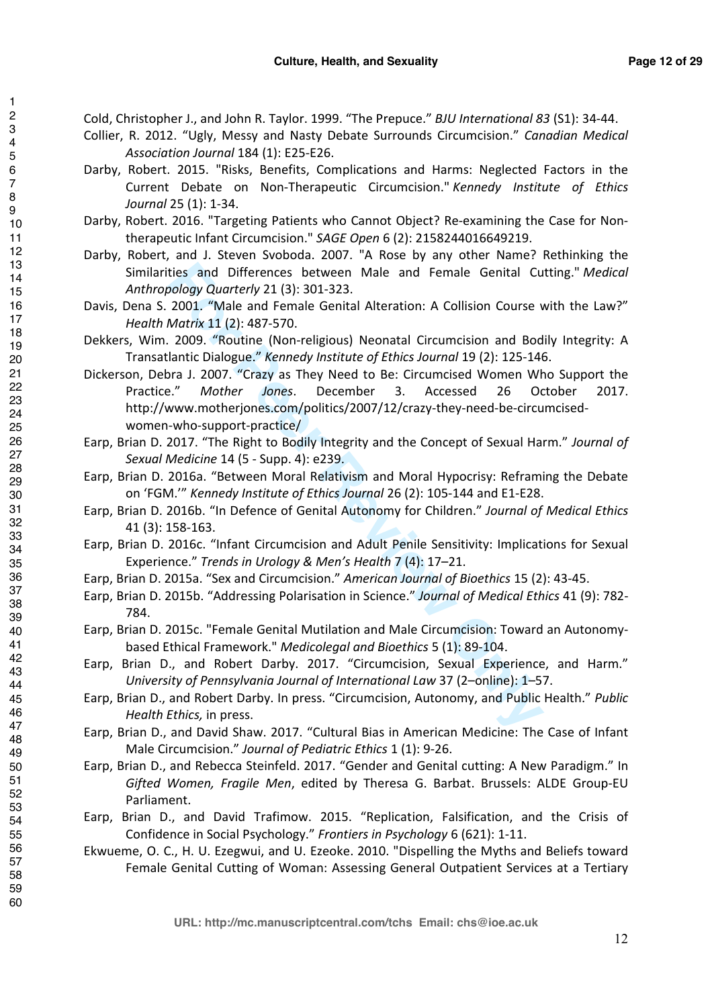Cold, Christopher J., and John R. Taylor. 1999. "The Prepuce." *BJU International 83* (S1): 34-44.

- Collier, R. 2012. "Ugly, Messy and Nasty Debate Surrounds Circumcision." *Canadian Medical Association Journal* 184 (1): E25-E26.
- Darby, Robert. 2015. "Risks, Benefits, Complications and Harms: Neglected Factors in the Current Debate on Non-Therapeutic Circumcision." *Kennedy Institute of Ethics Journal* 25 (1): 1-34.
- Darby, Robert. 2016. "Targeting Patients who Cannot Object? Re-examining the Case for Nontherapeutic Infant Circumcision." *SAGE Open* 6 (2): 2158244016649219.
- Darby, Robert, and J. Steven Svoboda. 2007. "A Rose by any other Name? Rethinking the Similarities and Differences between Male and Female Genital Cutting." *Medical Anthropology Quarterly* 21 (3): 301-323.
- Davis, Dena S. 2001. "Male and Female Genital Alteration: A Collision Course with the Law?" *Health Matrix* 11 (2): 487-570.
- Dekkers, Wim. 2009. "Routine (Non-religious) Neonatal Circumcision and Bodily Integrity: A Transatlantic Dialogue." *Kennedy Institute of Ethics Journal* 19 (2): 125-146.
- ties and Differences between Male and Female Genital Cu<br> *For Wolde and Female Genital Alteration:* A Collision Course v<br> *Motrix* 11 (2): 487-570.<br> *Motrix* 11 (2): 487-570.<br> *Motrix* 11 (2): 487-570.<br> *Portine* (Non-reli Dickerson, Debra J. 2007. "Crazy as They Need to Be: Circumcised Women Who Support the Practice." *Mother Jones*. December 3. Accessed 26 October 2017. http://www.motherjones.com/politics/2007/12/crazy-they-need-be-circumcisedwomen-who-support-practice/
- Earp, Brian D. 2017. "The Right to Bodily Integrity and the Concept of Sexual Harm." *Journal of Sexual Medicine* 14 (5 - Supp. 4): e239.
- Earp, Brian D. 2016a. "Between Moral Relativism and Moral Hypocrisy: Reframing the Debate on 'FGM.'" *Kennedy Institute of Ethics Journal* 26 (2): 105-144 and E1-E28.
- Earp, Brian D. 2016b. "In Defence of Genital Autonomy for Children." *Journal of Medical Ethics* 41 (3): 158-163.
- Earp, Brian D. 2016c. "Infant Circumcision and Adult Penile Sensitivity: Implications for Sexual Experience." *Trends in Urology & Men's Health* 7 (4): 17–21.
- Earp, Brian D. 2015a. "Sex and Circumcision." *American Journal of Bioethics* 15 (2): 43-45.
- Earp, Brian D. 2015b. "Addressing Polarisation in Science." *Journal of Medical Ethics* 41 (9): 782- 784.
- Earp, Brian D. 2015c. "Female Genital Mutilation and Male Circumcision: Toward an Autonomybased Ethical Framework." *Medicolegal and Bioethics* 5 (1): 89-104.
- Earp, Brian D., and Robert Darby. 2017. "Circumcision, Sexual Experience, and Harm." *University of Pennsylvania Journal of International Law* 37 (2–online): 1–57.
- Earp, Brian D., and Robert Darby. In press. "Circumcision, Autonomy, and Public Health." *Public Health Ethics,* in press.
- Earp, Brian D., and David Shaw. 2017. "Cultural Bias in American Medicine: The Case of Infant Male Circumcision." *Journal of Pediatric Ethics* 1 (1): 9-26.
- Earp, Brian D., and Rebecca Steinfeld. 2017. "Gender and Genital cutting: A New Paradigm." In *Gifted Women, Fragile Men*, edited by Theresa G. Barbat. Brussels: ALDE Group-EU Parliament.
- Earp, Brian D., and David Trafimow. 2015. "Replication, Falsification, and the Crisis of Confidence in Social Psychology." *Frontiers in Psychology* 6 (621): 1-11.
- Ekwueme, O. C., H. U. Ezegwui, and U. Ezeoke. 2010. "Dispelling the Myths and Beliefs toward Female Genital Cutting of Woman: Assessing General Outpatient Services at a Tertiary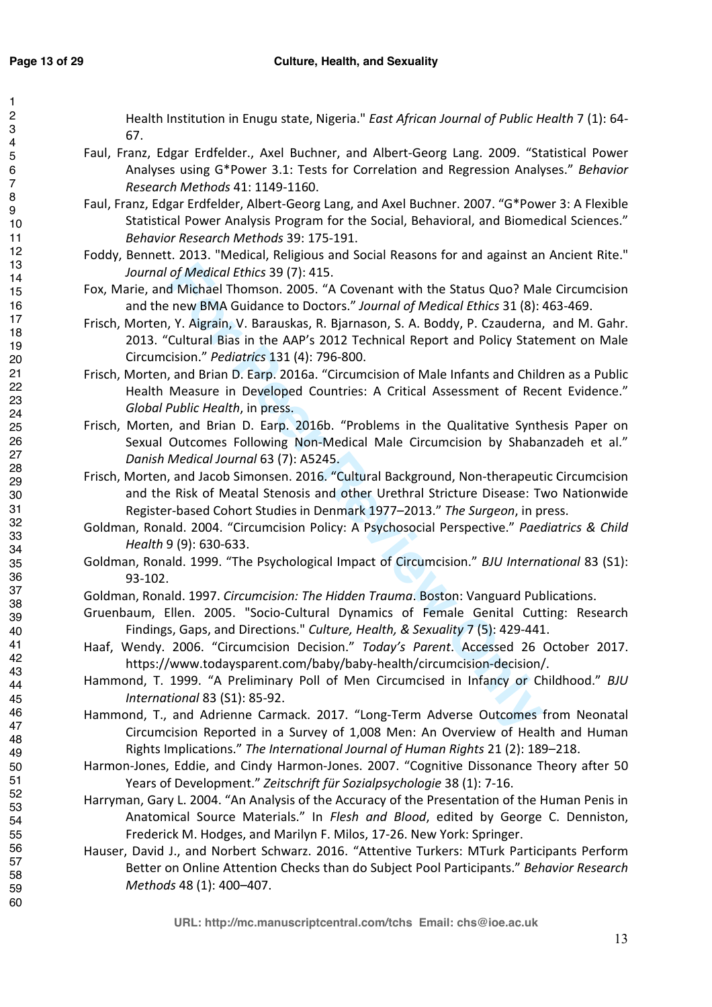#### **Culture, Health, and Sexuality**

Health Institution in Enugu state, Nigeria." *East African Journal of Public Health* 7 (1): 64- 67.

- Faul, Franz, Edgar Erdfelder., Axel Buchner, and Albert-Georg Lang. 2009. "Statistical Power Analyses using G\*Power 3.1: Tests for Correlation and Regression Analyses." *Behavior Research Methods* 41: 1149-1160.
- Faul, Franz, Edgar Erdfelder, Albert-Georg Lang, and Axel Buchner. 2007. "G\*Power 3: A Flexible Statistical Power Analysis Program for the Social, Behavioral, and Biomedical Sciences." *Behavior Research Methods* 39: 175-191.
- Foddy, Bennett. 2013. "Medical, Religious and Social Reasons for and against an Ancient Rite." *Journal of Medical Ethics* 39 (7): 415.
- Fox, Marie, and Michael Thomson. 2005. "A Covenant with the Status Quo? Male Circumcision and the new BMA Guidance to Doctors." *Journal of Medical Ethics* 31 (8): 463-469.
- of Medical Ethics 39 (7): 415.<br>
Michael Thomson. 2005. "A Covenant with the Status Quo? Mal<br>
new BMA Guidance to Doctors." Journal of Medical Ethics 31 (8):<br>
new BMA Guidance to Doctors." Journal of Medical Ethics 31 (8):<br> Frisch, Morten, Y. Aigrain, V. Barauskas, R. Bjarnason, S. A. Boddy, P. Czauderna, and M. Gahr. 2013. "Cultural Bias in the AAP's 2012 Technical Report and Policy Statement on Male Circumcision." *Pediatrics* 131 (4): 796-800.
- Frisch, Morten, and Brian D. Earp. 2016a. "Circumcision of Male Infants and Children as a Public Health Measure in Developed Countries: A Critical Assessment of Recent Evidence." *Global Public Health*, in press.
- Frisch, Morten, and Brian D. Earp. 2016b. "Problems in the Qualitative Synthesis Paper on Sexual Outcomes Following Non-Medical Male Circumcision by Shabanzadeh et al." *Danish Medical Journal* 63 (7): A5245.
- Frisch, Morten, and Jacob Simonsen. 2016. "Cultural Background, Non-therapeutic Circumcision and the Risk of Meatal Stenosis and other Urethral Stricture Disease: Two Nationwide Register-based Cohort Studies in Denmark 1977–2013." *The Surgeon*, in press.
- Goldman, Ronald. 2004. "Circumcision Policy: A Psychosocial Perspective." *Paediatrics & Child Health* 9 (9): 630-633.
- Goldman, Ronald. 1999. "The Psychological Impact of Circumcision." *BJU International* 83 (S1): 93-102.
- Goldman, Ronald. 1997. *Circumcision: The Hidden Trauma*. Boston: Vanguard Publications.
- Gruenbaum, Ellen. 2005. "Socio-Cultural Dynamics of Female Genital Cutting: Research Findings, Gaps, and Directions." *Culture, Health, & Sexuality* 7 (5): 429-441.
- Haaf, Wendy. 2006. "Circumcision Decision." *Today's Parent*. Accessed 26 October 2017. https://www.todaysparent.com/baby/baby-health/circumcision-decision/.
- Hammond, T. 1999. "A Preliminary Poll of Men Circumcised in Infancy or Childhood." *BJU International* 83 (S1): 85-92.
- Hammond, T., and Adrienne Carmack. 2017. "Long-Term Adverse Outcomes from Neonatal Circumcision Reported in a Survey of 1,008 Men: An Overview of Health and Human Rights Implications." *The International Journal of Human Rights* 21 (2): 189–218.
- Harmon-Jones, Eddie, and Cindy Harmon-Jones. 2007. "Cognitive Dissonance Theory after 50 Years of Development." *Zeitschrift für Sozialpsychologie* 38 (1): 7-16.
- Harryman, Gary L. 2004. "An Analysis of the Accuracy of the Presentation of the Human Penis in Anatomical Source Materials." In *Flesh and Blood*, edited by George C. Denniston, Frederick M. Hodges, and Marilyn F. Milos, 17-26. New York: Springer.
- Hauser, David J., and Norbert Schwarz. 2016. "Attentive Turkers: MTurk Participants Perform Better on Online Attention Checks than do Subject Pool Participants." *Behavior Research Methods* 48 (1): 400–407.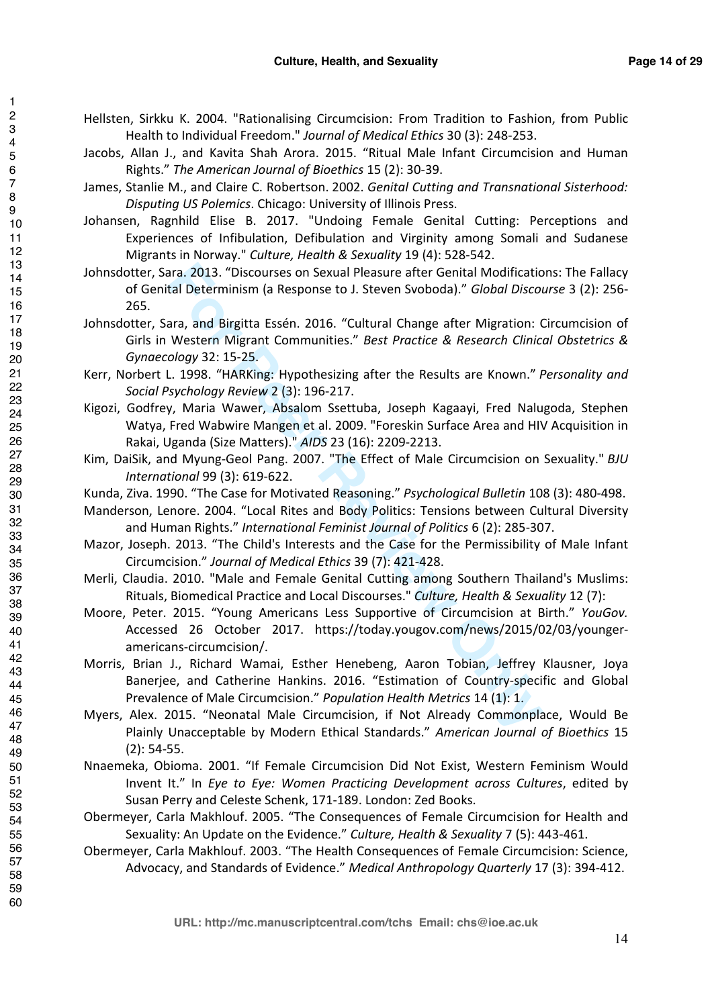Hellsten, Sirkku K. 2004. "Rationalising Circumcision: From Tradition to Fashion, from Public Health to Individual Freedom." *Journal of Medical Ethics* 30 (3): 248-253.

Jacobs, Allan J., and Kavita Shah Arora. 2015. "Ritual Male Infant Circumcision and Human Rights." *The American Journal of Bioethics* 15 (2): 30-39.

James, Stanlie M., and Claire C. Robertson. 2002. *Genital Cutting and Transnational Sisterhood: Disputing US Polemics*. Chicago: University of Illinois Press.

Johansen, Ragnhild Elise B. 2017. "Undoing Female Genital Cutting: Perceptions and Experiences of Infibulation, Defibulation and Virginity among Somali and Sudanese Migrants in Norway." *Culture, Health & Sexuality* 19 (4): 528-542.

ara. 2013. "Discourses on Sexual Pleasure after Genital Modificatio<br>tal Determinism (a Response to J. Steven Svoboda)." *Global Discou*<br>ara, and Birgitta Essén. 2016. "Cultural Change after Migration: C<br>Western Migrant Com Johnsdotter, Sara. 2013. "Discourses on Sexual Pleasure after Genital Modifications: The Fallacy of Genital Determinism (a Response to J. Steven Svoboda)." *Global Discourse* 3 (2): 256- 265.

Johnsdotter, Sara, and Birgitta Essén. 2016. "Cultural Change after Migration: Circumcision of Girls in Western Migrant Communities." *Best Practice & Research Clinical Obstetrics & Gynaecology* 32: 15-25.

Kerr, Norbert L. 1998. "HARKing: Hypothesizing after the Results are Known." *Personality and Social Psychology Review* 2 (3): 196-217.

Kigozi, Godfrey, Maria Wawer, Absalom Ssettuba, Joseph Kagaayi, Fred Nalugoda, Stephen Watya, Fred Wabwire Mangen et al. 2009. "Foreskin Surface Area and HIV Acquisition in Rakai, Uganda (Size Matters)." *AIDS* 23 (16): 2209-2213.

Kim, DaiSik, and Myung-Geol Pang. 2007. "The Effect of Male Circumcision on Sexuality." *BJU International* 99 (3): 619-622.

Kunda, Ziva. 1990. "The Case for Motivated Reasoning." *Psychological Bulletin* 108 (3): 480-498.

Manderson, Lenore. 2004. "Local Rites and Body Politics: Tensions between Cultural Diversity and Human Rights." *International Feminist Journal of Politics* 6 (2): 285-307.

Mazor, Joseph. 2013. "The Child's Interests and the Case for the Permissibility of Male Infant Circumcision." *Journal of Medical Ethics* 39 (7): 421-428.

Merli, Claudia. 2010. "Male and Female Genital Cutting among Southern Thailand's Muslims: Rituals, Biomedical Practice and Local Discourses." *Culture, Health & Sexuality* 12 (7):

Moore, Peter. 2015. "Young Americans Less Supportive of Circumcision at Birth." *YouGov.* Accessed 26 October 2017. https://today.yougov.com/news/2015/02/03/youngeramericans-circumcision/.

Morris, Brian J., Richard Wamai, Esther Henebeng, Aaron Tobian, Jeffrey Klausner, Joya Banerjee, and Catherine Hankins. 2016. "Estimation of Country-specific and Global Prevalence of Male Circumcision." *Population Health Metrics* 14 (1): 1.

Myers, Alex. 2015. "Neonatal Male Circumcision, if Not Already Commonplace, Would Be Plainly Unacceptable by Modern Ethical Standards." *American Journal of Bioethics* 15 (2): 54-55.

Nnaemeka, Obioma. 2001. "If Female Circumcision Did Not Exist, Western Feminism Would Invent It." In *Eye to Eye: Women Practicing Development across Cultures*, edited by Susan Perry and Celeste Schenk, 171-189. London: Zed Books.

Obermeyer, Carla Makhlouf. 2005. "The Consequences of Female Circumcision for Health and Sexuality: An Update on the Evidence." *Culture, Health & Sexuality* 7 (5): 443-461.

Obermeyer, Carla Makhlouf. 2003. "The Health Consequences of Female Circumcision: Science, Advocacy, and Standards of Evidence." *Medical Anthropology Quarterly* 17 (3): 394-412.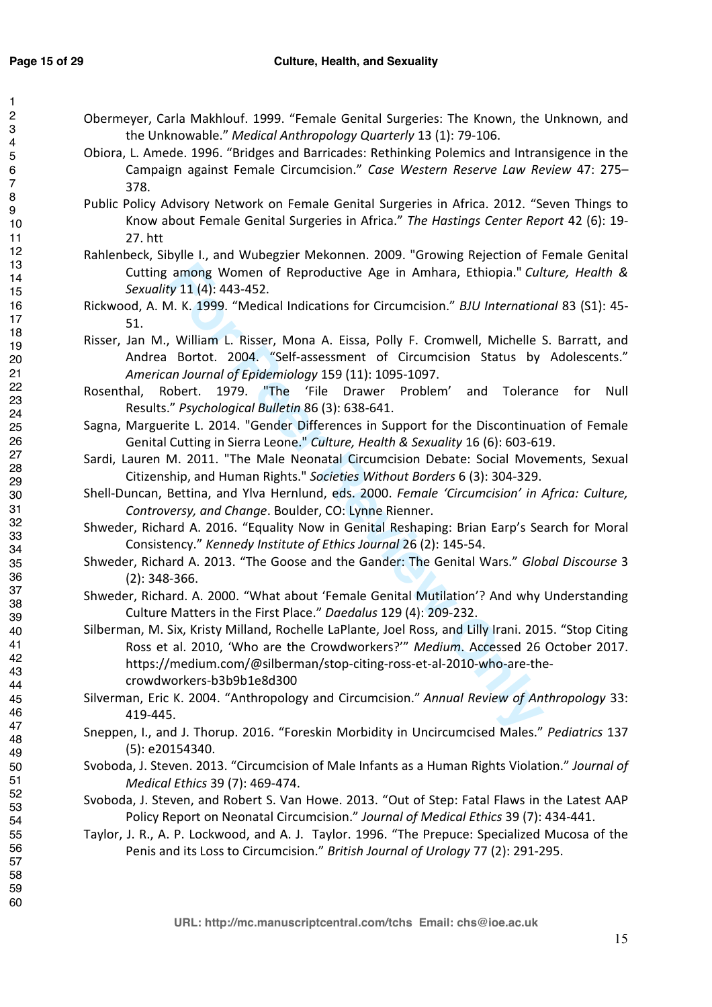- Obermeyer, Carla Makhlouf. 1999. "Female Genital Surgeries: The Known, the Unknown, and the Unknowable." *Medical Anthropology Quarterly* 13 (1): 79-106.
- Obiora, L. Amede. 1996. "Bridges and Barricades: Rethinking Polemics and Intransigence in the Campaign against Female Circumcision." *Case Western Reserve Law Review* 47: 275– 378.
- Public Policy Advisory Network on Female Genital Surgeries in Africa. 2012. "Seven Things to Know about Female Genital Surgeries in Africa." *The Hastings Center Report* 42 (6): 19- 27. htt
- Rahlenbeck, Sibylle I., and Wubegzier Mekonnen. 2009. "Growing Rejection of Female Genital Cutting among Women of Reproductive Age in Amhara, Ethiopia." *Culture, Health & Sexuality* 11 (4): 443-452.
- Rickwood, A. M. K. 1999. "Medical Indications for Circumcision." *BJU International* 83 (S1): 45- 51.
- Risser, Jan M., William L. Risser, Mona A. Eissa, Polly F. Cromwell, Michelle S. Barratt, and Andrea Bortot. 2004. "Self-assessment of Circumcision Status by Adolescents." *American Journal of Epidemiology* 159 (11): 1095-1097.
- Rosenthal, Robert. 1979. "The 'File Drawer Problem' and Tolerance for Null Results." *Psychological Bulletin* 86 (3): 638-641.
- Sagna, Marguerite L. 2014. "Gender Differences in Support for the Discontinuation of Female Genital Cutting in Sierra Leone." *Culture, Health & Sexuality* 16 (6): 603-619.
- Sardi, Lauren M. 2011. "The Male Neonatal Circumcision Debate: Social Movements, Sexual Citizenship, and Human Rights." *Societies Without Borders* 6 (3): 304-329.
- Shell-Duncan, Bettina, and Ylva Hernlund, eds. 2000. *Female 'Circumcision' in Africa: Culture, Controversy, and Change*. Boulder, CO: Lynne Rienner.
- Shweder, Richard A. 2016. "Equality Now in Genital Reshaping: Brian Earp's Search for Moral Consistency." *Kennedy Institute of Ethics Journal* 26 (2): 145-54.
- Shweder, Richard A. 2013. "The Goose and the Gander: The Genital Wars." *Global Discourse* 3 (2): 348-366.
- Shweder, Richard. A. 2000. "What about 'Female Genital Mutilation'? And why Understanding Culture Matters in the First Place." *Daedalus* 129 (4): 209-232.
- among Women of Reproductive Age in Amhara, Ethiopia." Culty 11 (4): 443-452.<br> *K.* K. 1999. "Medical Indications for Circumcision." *BJU Internation*.<br>
William L. Risser, Mona A. Eissa, Polly F. Cromwell, Michelle Sortot. Silberman, M. Six, Kristy Milland, Rochelle LaPlante, Joel Ross, and Lilly Irani. 2015. "Stop Citing Ross et al. 2010, 'Who are the Crowdworkers?'" *Medium*. Accessed 26 October 2017. https://medium.com/@silberman/stop-citing-ross-et-al-2010-who-are-thecrowdworkers-b3b9b1e8d300
- Silverman, Eric K. 2004. "Anthropology and Circumcision." *Annual Review of Anthropology* 33: 419-445.
- Sneppen, I., and J. Thorup. 2016. "Foreskin Morbidity in Uncircumcised Males." *Pediatrics* 137 (5): e20154340.
- Svoboda, J. Steven. 2013. "Circumcision of Male Infants as a Human Rights Violation." *Journal of Medical Ethics* 39 (7): 469-474.
- Svoboda, J. Steven, and Robert S. Van Howe. 2013. "Out of Step: Fatal Flaws in the Latest AAP Policy Report on Neonatal Circumcision." *Journal of Medical Ethics* 39 (7): 434-441.
- Taylor, J. R., A. P. Lockwood, and A. J. Taylor. 1996. "The Prepuce: Specialized Mucosa of the Penis and its Loss to Circumcision." *British Journal of Urology* 77 (2): 291-295.

**URL: http://mc.manuscriptcentral.com/tchs Email: chs@ioe.ac.uk**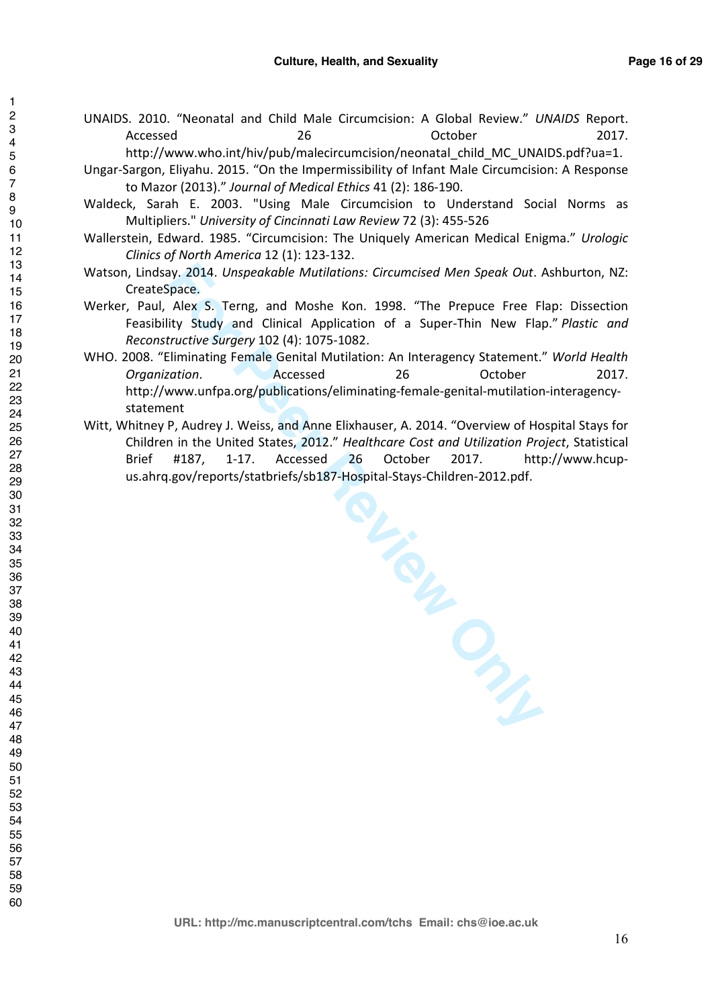UNAIDS. 2010. "Neonatal and Child Male Circumcision: A Global Review." *UNAIDS* Report. Accessed 26 26 Detober 2017.

http://www.who.int/hiv/pub/malecircumcision/neonatal\_child\_MC\_UNAIDS.pdf?ua=1.

- Ungar-Sargon, Eliyahu. 2015. "On the Impermissibility of Infant Male Circumcision: A Response to Mazor (2013)." *Journal of Medical Ethics* 41 (2): 186-190.
- Waldeck, Sarah E. 2003. "Using Male Circumcision to Understand Social Norms as Multipliers." *University of Cincinnati Law Review* 72 (3): 455-526
- Wallerstein, Edward. 1985. "Circumcision: The Uniquely American Medical Enigma." *Urologic Clinics of North America* 12 (1): 123-132.
- Watson, Lindsay. 2014. *Unspeakable Mutilations: Circumcised Men Speak Out*. Ashburton, NZ: CreateSpace.
- Werker, Paul, Alex S. Terng, and Moshe Kon. 1998. "The Prepuce Free Flap: Dissection Feasibility Study and Clinical Application of a Super-Thin New Flap." *Plastic and Reconstructive Surgery* 102 (4): 1075-1082.
- WHO. 2008. "Eliminating Female Genital Mutilation: An Interagency Statement." *World Health Organization*. Accessed 26 October 2017. http://www.unfpa.org/publications/eliminating-female-genital-mutilation-interagencystatement
- ation. Accessed 26 October<br>
Interview Unifications/eliminating-female-genital-mutilation-int<br>
Interview of Hospi<br>
P. Audrey J. Weiss, and Anne Elixhauser, A. 2014. "Overview of Hospi<br>
i in the United States, 2012." *Health* Witt, Whitney P, Audrey J. Weiss, and Anne Elixhauser, A. 2014. "Overview of Hospital Stays for Children in the United States, 2012." *Healthcare Cost and Utilization Project*, Statistical Brief #187, 1-17. Accessed 26 October 2017. http://www.hcupus.ahrq.gov/reports/statbriefs/sb187-Hospital-Stays-Children-2012.pdf.

**URL: http://mc.manuscriptcentral.com/tchs Email: chs@ioe.ac.uk**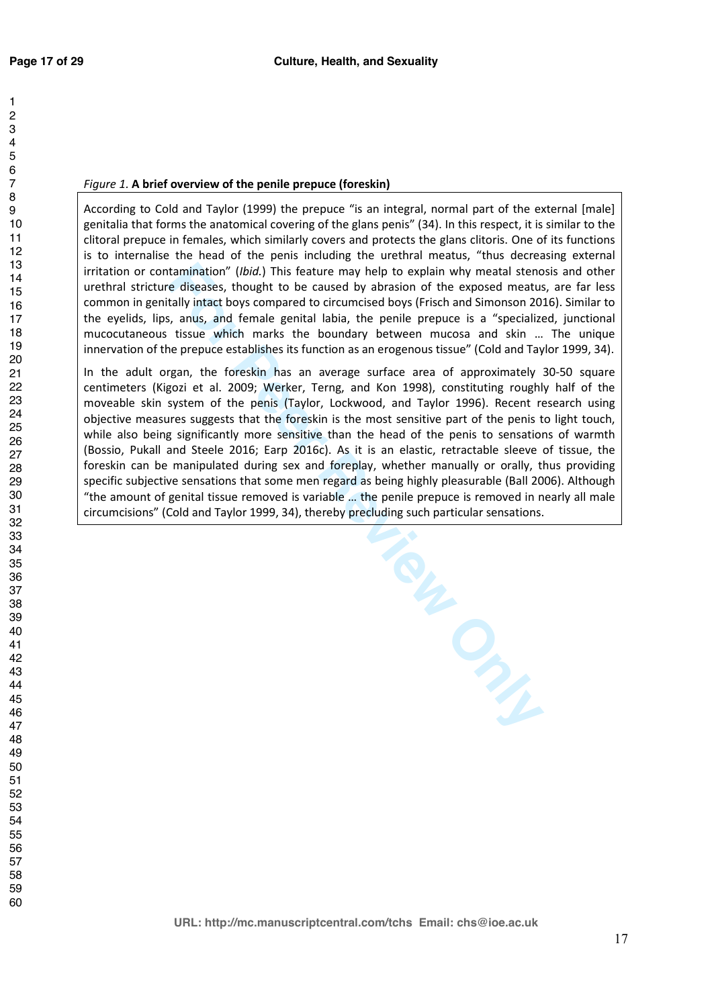#### *Figure 1.* **A brief overview of the penile prepuce (foreskin)**

According to Cold and Taylor (1999) the prepuce "is an integral, normal part of the external [male] genitalia that forms the anatomical covering of the glans penis" (34). In this respect, it is similar to the clitoral prepuce in females, which similarly covers and protects the glans clitoris. One of its functions is to internalise the head of the penis including the urethral meatus, "thus decreasing external irritation or contamination" (*Ibid.*) This feature may help to explain why meatal stenosis and other urethral stricture diseases, thought to be caused by abrasion of the exposed meatus, are far less common in genitally intact boys compared to circumcised boys (Frisch and Simonson 2016). Similar to the eyelids, lips, anus, and female genital labia, the penile prepuce is a "specialized, junctional mucocutaneous tissue which marks the boundary between mucosa and skin … The unique innervation of the prepuce establishes its function as an erogenous tissue" (Cold and Taylor 1999, 34).

In the adult organ, the foreskin has an average surface area of approximately 30-50 square centimeters (Kigozi et al. 2009; Werker, Terng, and Kon 1998), constituting roughly half of the moveable skin system of the penis (Taylor, Lockwood, and Taylor 1996). Recent research using objective measures suggests that the foreskin is the most sensitive part of the penis to light touch, while also being significantly more sensitive than the head of the penis to sensations of warmth (Bossio, Pukall and Steele 2016; Earp 2016c). As it is an elastic, retractable sleeve of tissue, the foreskin can be manipulated during sex and foreplay, whether manually or orally, thus providing specific subjective sensations that some men regard as being highly pleasurable (Ball 2006). Although "the amount of genital tissue removed is variable … the penile prepuce is removed in nearly all male circumcisions" (Cold and Taylor 1999, 34), thereby precluding such particular sensations.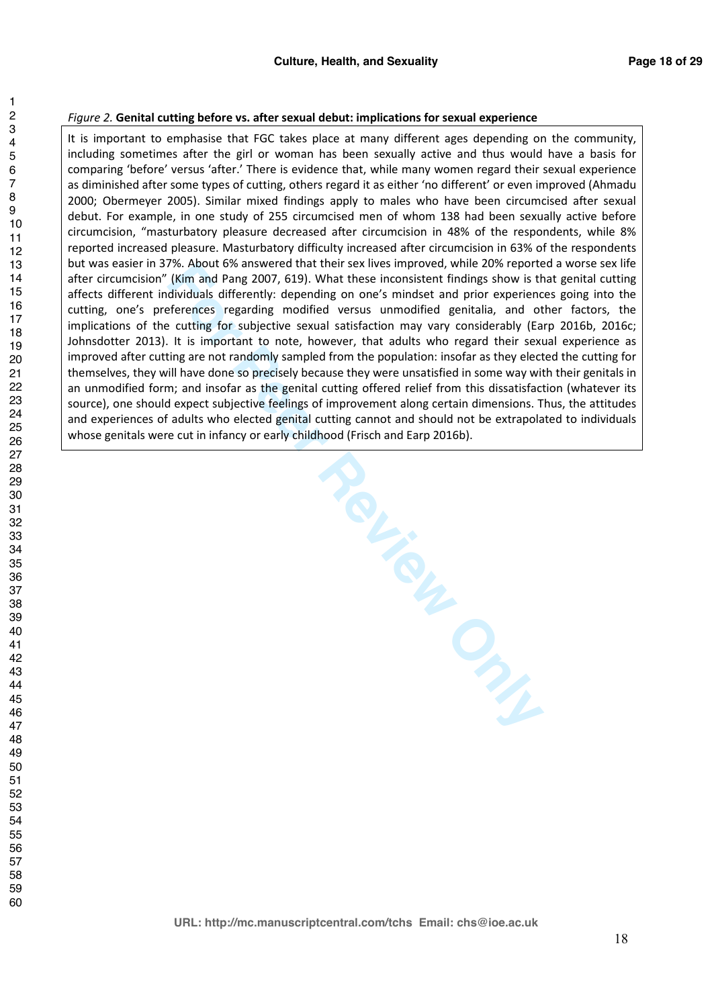#### *Figure 2.* **Genital cutting before vs. after sexual debut: implications for sexual experience**

It is important to emphasise that FGC takes place at many different ages depending on the community, including sometimes after the girl or woman has been sexually active and thus would have a basis for comparing 'before' versus 'after.' There is evidence that, while many women regard their sexual experience as diminished after some types of cutting, others regard it as either 'no different' or even improved (Ahmadu 2000; Obermeyer 2005). Similar mixed findings apply to males who have been circumcised after sexual debut. For example, in one study of 255 circumcised men of whom 138 had been sexually active before circumcision, "masturbatory pleasure decreased after circumcision in 48% of the respondents, while 8% reported increased pleasure. Masturbatory difficulty increased after circumcision in 63% of the respondents but was easier in 37%. About 6% answered that their sex lives improved, while 20% reported a worse sex life after circumcision" (Kim and Pang 2007, 619). What these inconsistent findings show is that genital cutting affects different individuals differently: depending on one's mindset and prior experiences going into the cutting, one's preferences regarding modified versus unmodified genitalia, and other factors, the implications of the cutting for subjective sexual satisfaction may vary considerably (Earp 2016b, 2016c; Johnsdotter 2013). It is important to note, however, that adults who regard their sexual experience as improved after cutting are not randomly sampled from the population: insofar as they elected the cutting for themselves, they will have done so precisely because they were unsatisfied in some way with their genitals in an unmodified form; and insofar as the genital cutting offered relief from this dissatisfaction (whatever its source), one should expect subjective feelings of improvement along certain dimensions. Thus, the attitudes and experiences of adults who elected genital cutting cannot and should not be extrapolated to individuals whose genitals were cut in infancy or early childhood (Frisch and Earp 2016b).

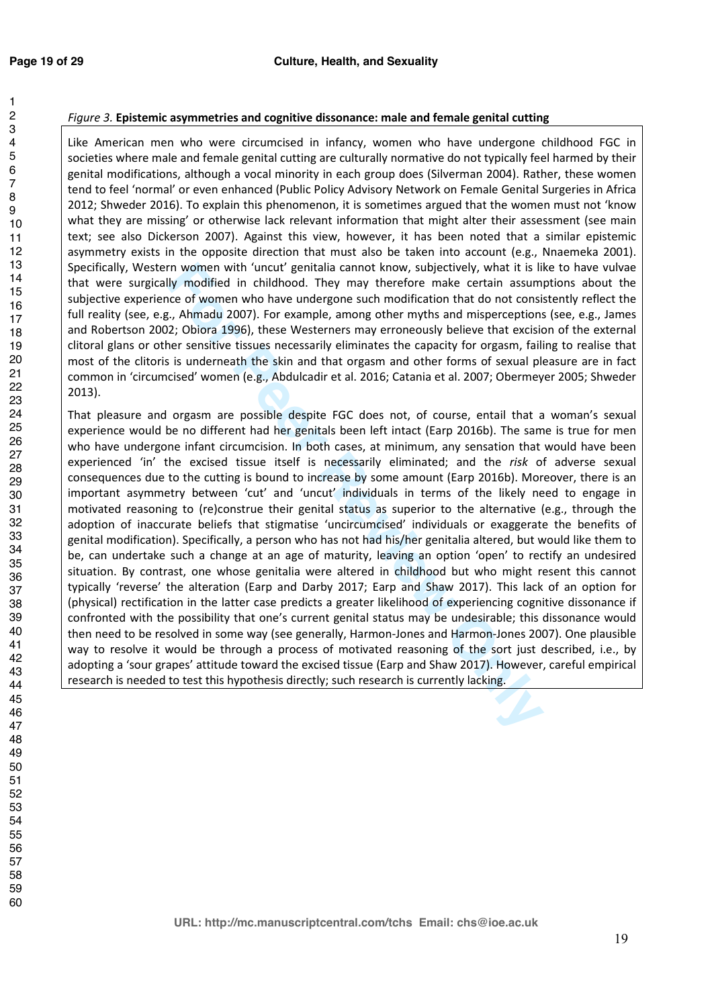Like American men who were circumcised in infancy, women who have undergone childhood FGC in societies where male and female genital cutting are culturally normative do not typically feel harmed by their genital modifications, although a vocal minority in each group does (Silverman 2004). Rather, these women tend to feel 'normal' or even enhanced (Public Policy Advisory Network on Female Genital Surgeries in Africa 2012; Shweder 2016). To explain this phenomenon, it is sometimes argued that the women must not 'know what they are missing' or otherwise lack relevant information that might alter their assessment (see main text; see also Dickerson 2007). Against this view, however, it has been noted that a similar epistemic asymmetry exists in the opposite direction that must also be taken into account (e.g., Nnaemeka 2001). Specifically, Western women with 'uncut' genitalia cannot know, subjectively, what it is like to have vulvae that were surgically modified in childhood. They may therefore make certain assumptions about the subjective experience of women who have undergone such modification that do not consistently reflect the full reality (see, e.g., Ahmadu 2007). For example, among other myths and misperceptions (see, e.g., James and Robertson 2002; Obiora 1996), these Westerners may erroneously believe that excision of the external clitoral glans or other sensitive tissues necessarily eliminates the capacity for orgasm, failing to realise that most of the clitoris is underneath the skin and that orgasm and other forms of sexual pleasure are in fact common in 'circumcised' women (e.g., Abdulcadir et al. 2016; Catania et al. 2007; Obermeyer 2005; Shweder 2013).

rn women with 'uncut' genitalia cannot know, subjectively, what it is lily<br>ly modified in childhood. They may therefore make certain assumption<br>i.e.g. Ahmadu 2007). For example, among other myths and misperceptions<br>c, Ahma That pleasure and orgasm are possible despite FGC does not, of course, entail that a woman's sexual experience would be no different had her genitals been left intact (Earp 2016b). The same is true for men who have undergone infant circumcision. In both cases, at minimum, any sensation that would have been experienced 'in' the excised tissue itself is necessarily eliminated; and the *risk* of adverse sexual consequences due to the cutting is bound to increase by some amount (Earp 2016b). Moreover, there is an important asymmetry between 'cut' and 'uncut' individuals in terms of the likely need to engage in motivated reasoning to (re)construe their genital status as superior to the alternative (e.g., through the adoption of inaccurate beliefs that stigmatise 'uncircumcised' individuals or exaggerate the benefits of genital modification). Specifically, a person who has not had his/her genitalia altered, but would like them to be, can undertake such a change at an age of maturity, leaving an option 'open' to rectify an undesired situation. By contrast, one whose genitalia were altered in childhood but who might resent this cannot typically 'reverse' the alteration (Earp and Darby 2017; Earp and Shaw 2017). This lack of an option for (physical) rectification in the latter case predicts a greater likelihood of experiencing cognitive dissonance if confronted with the possibility that one's current genital status may be undesirable; this dissonance would then need to be resolved in some way (see generally, Harmon-Jones and Harmon-Jones 2007). One plausible way to resolve it would be through a process of motivated reasoning of the sort just described, i.e., by adopting a 'sour grapes' attitude toward the excised tissue (Earp and Shaw 2017). However, careful empirical research is needed to test this hypothesis directly; such research is currently lacking.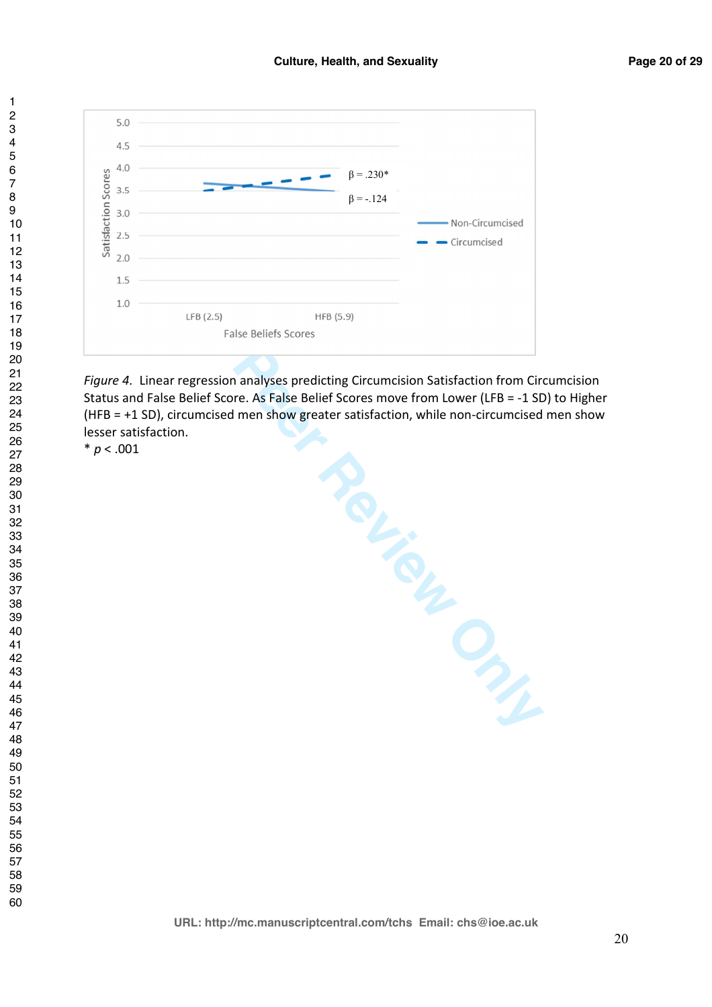

False Beliefs Scores<br>
False Beliefs Scores<br> **False Beliefs Scores**<br> **Expression analyses predicting Circumcision Satisfaction from Circu**<br> **For Perform Core As False Belief Scores move from Lower (LFB = -1 SD)**<br>
<br> **CONLY A** *Figure 4.* Linear regression analyses predicting Circumcision Satisfaction from Circumcision Status and False Belief Score. As False Belief Scores move from Lower (LFB = -1 SD) to Higher (HFB = +1 SD), circumcised men show greater satisfaction, while non-circumcised men show lesser satisfaction.

 $* p < .001$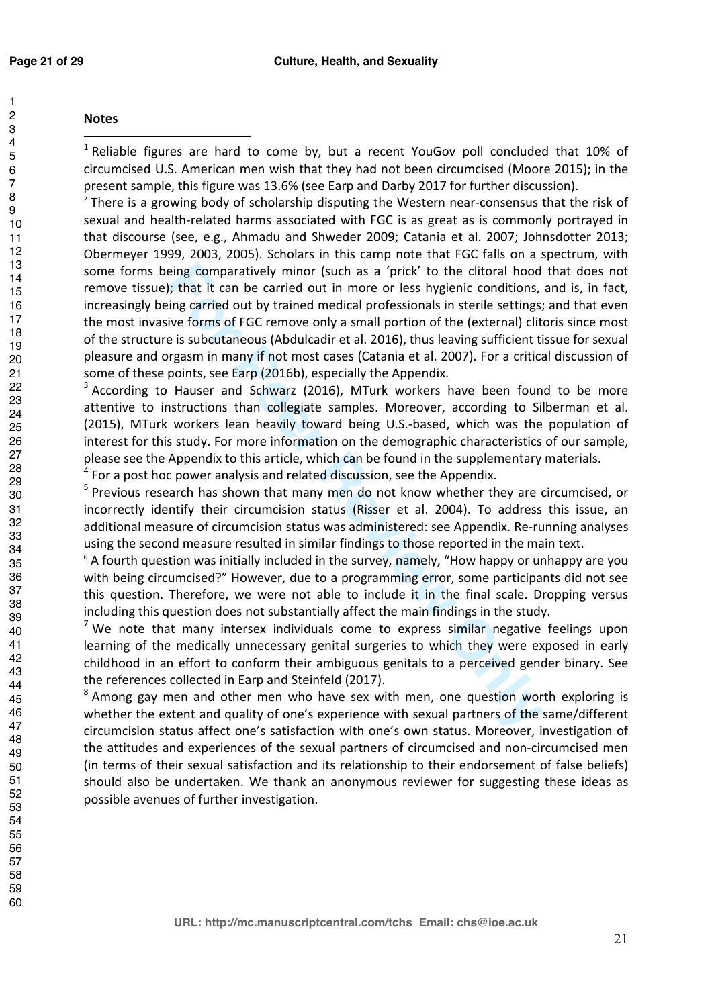# **Notes**

 Reliable figures are hard to come by, but a recent YouGov poll concluded that 10% of circumcised U.S. American men wish that they had not been circumcised (Moore 2015); in the present sample, this figure was 13.6% (see Earp and Darby 2017 for further discussion). 2

eing comparatively minor (such as a 'prick' to the clitoral hood<br>in that it can be carried out in more or less hygienic conditions,<br>ing carried out by trained medical professionals in sterile settings;<br>ive forms of FGC rem There is a growing body of scholarship disputing the Western near-consensus that the risk of sexual and health-related harms associated with FGC is as great as is commonly portrayed in that discourse (see, e.g., Ahmadu and Shweder 2009; Catania et al. 2007; Johnsdotter 2013; Obermeyer 1999, 2003, 2005). Scholars in this camp note that FGC falls on a spectrum, with some forms being comparatively minor (such as a 'prick' to the clitoral hood that does not remove tissue); that it can be carried out in more or less hygienic conditions, and is, in fact, increasingly being carried out by trained medical professionals in sterile settings; and that even the most invasive forms of FGC remove only a small portion of the (external) clitoris since most of the structure is subcutaneous (Abdulcadir et al. 2016), thus leaving sufficient tissue for sexual pleasure and orgasm in many if not most cases (Catania et al. 2007). For a critical discussion of some of these points, see Earp (2016b), especially the Appendix.

 According to Hauser and Schwarz (2016), MTurk workers have been found to be more attentive to instructions than collegiate samples. Moreover, according to Silberman et al. (2015), MTurk workers lean heavily toward being U.S.-based, which was the population of interest for this study. For more information on the demographic characteristics of our sample, please see the Appendix to this article, which can be found in the supplementary materials.

For a post hoc power analysis and related discussion, see the Appendix.

<sup>5</sup> Previous research has shown that many men do not know whether they are circumcised, or incorrectly identify their circumcision status (Risser et al. 2004). To address this issue, an additional measure of circumcision status was administered: see Appendix. Re-running analyses using the second measure resulted in similar findings to those reported in the main text. 6

 $\degree$  A fourth question was initially included in the survey, namely, "How happy or unhappy are you with being circumcised?" However, due to a programming error, some participants did not see this question. Therefore, we were not able to include it in the final scale. Dropping versus including this question does not substantially affect the main findings in the study.

<sup>7</sup> We note that many intersex individuals come to express similar negative feelings upon learning of the medically unnecessary genital surgeries to which they were exposed in early childhood in an effort to conform their ambiguous genitals to a perceived gender binary. See the references collected in Earp and Steinfeld (2017).

<sup>8</sup> Among gay men and other men who have sex with men, one question worth exploring is whether the extent and quality of one's experience with sexual partners of the same/different circumcision status affect one's satisfaction with one's own status. Moreover, investigation of the attitudes and experiences of the sexual partners of circumcised and non-circumcised men (in terms of their sexual satisfaction and its relationship to their endorsement of false beliefs) should also be undertaken. We thank an anonymous reviewer for suggesting these ideas as possible avenues of further investigation.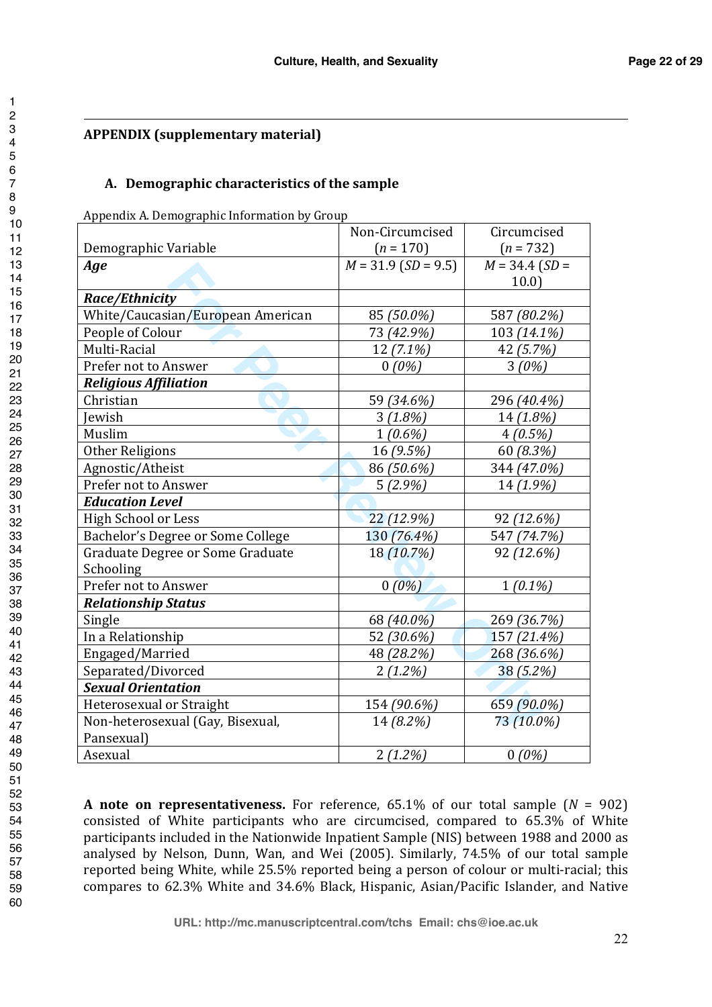# **APPENDIX (supplementary material)**

1

# **A. Demographic characteristics of the sample**

Appendix A. Demographic Information by Group

|                                   | Non-Circumcised       | Circumcised      |
|-----------------------------------|-----------------------|------------------|
| Demographic Variable              | $(n = 170)$           | $(n = 732)$      |
| Age                               | $M = 31.9$ (SD = 9.5) | $M = 34.4$ (SD = |
|                                   |                       | 10.0             |
| Race/Ethnicity                    |                       |                  |
| White/Caucasian/European American | 85 (50.0%)            | 587 (80.2%)      |
| People of Colour                  | 73 (42.9%)            | 103 (14.1%)      |
| Multi-Racial                      | $12(7.1\%)$           | 42 (5.7%)        |
| Prefer not to Answer              | $0(0\%)$              | 3(0%)            |
| <b>Religious Affiliation</b>      |                       |                  |
| Christian                         | 59 (34.6%)            | 296 (40.4%)      |
| Jewish                            | 3(1.8%)               | 14 (1.8%)        |
| Muslim                            | $1(0.6\%)$            | $4(0.5\%)$       |
| Other Religions                   | 16 (9.5%)             | 60 (8.3%)        |
| Agnostic/Atheist                  | 86 (50.6%)            | 344 (47.0%)      |
| Prefer not to Answer              | 5(2.9%)               | 14 (1.9%)        |
| <b>Education Level</b>            |                       |                  |
| <b>High School or Less</b>        | 22 (12.9%)            | 92 (12.6%)       |
| Bachelor's Degree or Some College | 130 (76.4%)           | 547 (74.7%)      |
| Graduate Degree or Some Graduate  | 18 (10.7%)            | 92 (12.6%)       |
| Schooling                         |                       |                  |
| Prefer not to Answer              | $0(0\%)$              | $1(0.1\%)$       |
| <b>Relationship Status</b>        |                       |                  |
| Single                            | 68 (40.0%)            | 269 (36.7%)      |
| In a Relationship                 | 52 (30.6%)            | 157 (21.4%)      |
| Engaged/Married                   | 48 (28.2%)            | 268 (36.6%)      |
| Separated/Divorced                | $2(1.2\%)$            | 38 (5.2%)        |
| <b>Sexual Orientation</b>         |                       |                  |
| Heterosexual or Straight          | 154 (90.6%)           | 659 (90.0%)      |
| Non-heterosexual (Gay, Bisexual,  | 14 (8.2%)             | 73 (10.0%)       |
| Pansexual)                        |                       |                  |
| Asexual                           | $2(1.2\%)$            | $0(0\%)$         |

**A note on representativeness.** For reference, 65.1% of our total sample (*N* = 902) consisted of White participants who are circumcised, compared to 65.3% of White participants included in the Nationwide Inpatient Sample (NIS) between 1988 and 2000 as analysed by Nelson, Dunn, Wan, and Wei (2005). Similarly, 74.5% of our total sample reported being White, while 25.5% reported being a person of colour or multi-racial; this compares to 62.3% White and 34.6% Black, Hispanic, Asian/Pacific Islander, and Native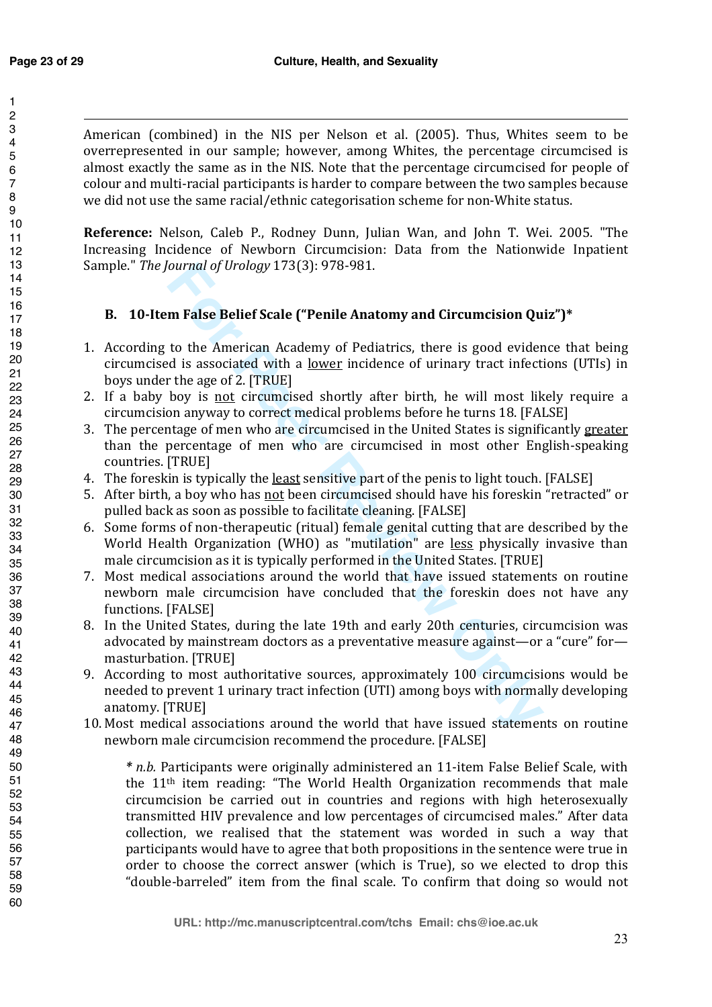American (combined) in the NIS per Nelson et al. (2005). Thus, Whites seem to be overrepresented in our sample; however, among Whites, the percentage circumcised is almost exactly the same as in the NIS. Note that the percentage circumcised for people of colour and multi-racial participants is harder to compare between the two samples because we did not use the same racial/ethnic categorisation scheme for non-White status.

**Reference:** Nelson, Caleb P., Rodney Dunn, Julian Wan, and John T. Wei. 2005. "The Increasing Incidence of Newborn Circumcision: Data from the Nationwide Inpatient Sample." *The Journal of Urology* 173(3): 978-981.

# **B. 10-Item False Belief Scale ("Penile Anatomy and Circumcision Quiz")\***

- 1. According to the American Academy of Pediatrics, there is good evidence that being circumcised is associated with a lower incidence of urinary tract infections (UTIs) in boys under the age of 2. [TRUE]
- 2. If a baby boy is not circumcised shortly after birth, he will most likely require a circumcision anyway to correct medical problems before he turns 18. [FALSE]
- 3. The percentage of men who are circumcised in the United States is significantly greater than the percentage of men who are circumcised in most other English-speaking countries. [TRUE]
- 4. The foreskin is typically the least sensitive part of the penis to light touch. [FALSE]
- 5. After birth, a boy who has not been circumcised should have his foreskin "retracted" or pulled back as soon as possible to facilitate cleaning. [FALSE]
- 6. Some forms of non-therapeutic (ritual) female genital cutting that are described by the World Health Organization (WHO) as "mutilation" are less physically invasive than male circumcision as it is typically performed in the United States. [TRUE]
- 7. Most medical associations around the world that have issued statements on routine newborn male circumcision have concluded that the foreskin does not have any functions. [FALSE]
- 8. In the United States, during the late 19th and early 20th centuries, circumcision was advocated by mainstream doctors as a preventative measure against—or a "cure" for masturbation. [TRUE]
- ournal of *Urology* 173(3): 978-981.<br> **For Peer Review Comparison Cannot Comparison Cu**<br>
to the American Academy of Pediatrics, there is good evider<br>
to the American Academy of Pediatrics, there is good evider<br>
to the age 9. According to most authoritative sources, approximately 100 circumcisions would be needed to prevent 1 urinary tract infection (UTI) among boys with normally developing anatomy. [TRUE]
- 10. Most medical associations around the world that have issued statements on routine newborn male circumcision recommend the procedure. [FALSE]

*\* n.b.* Participants were originally administered an 11-item False Belief Scale, with the 11th item reading: "The World Health Organization recommends that male circumcision be carried out in countries and regions with high heterosexually transmitted HIV prevalence and low percentages of circumcised males." After data collection, we realised that the statement was worded in such a way that participants would have to agree that both propositions in the sentence were true in order to choose the correct answer (which is True), so we elected to drop this "double-barreled" item from the final scale. To confirm that doing so would not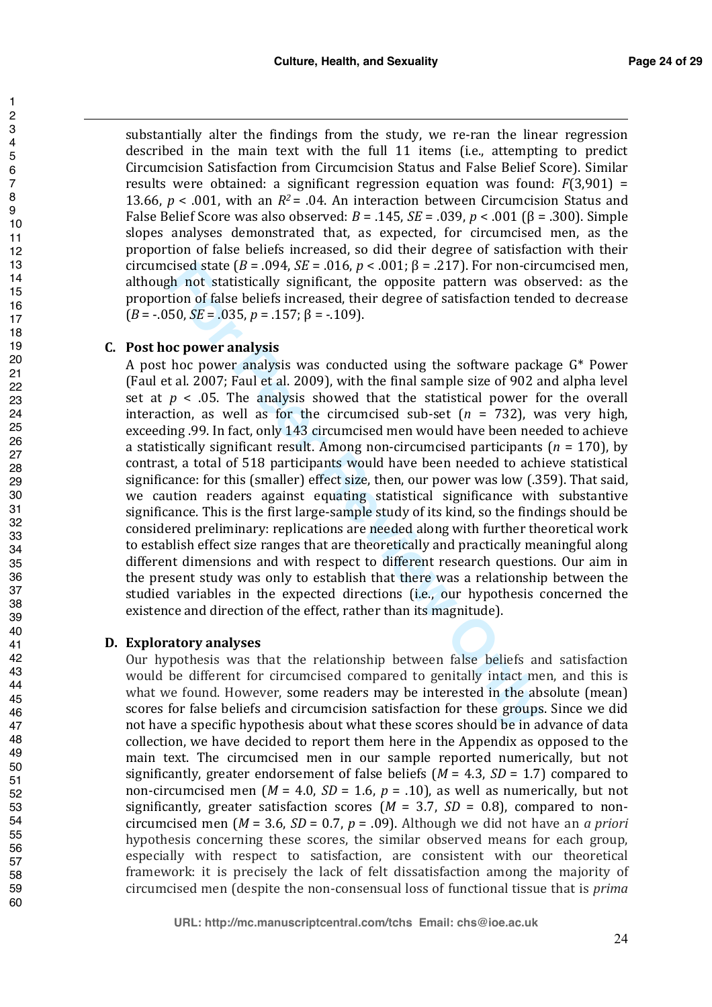substantially alter the findings from the study, we re-ran the linear regression described in the main text with the full 11 items (i.e., attempting to predict Circumcision Satisfaction from Circumcision Status and False Belief Score). Similar results were obtained: a significant regression equation was found: *F*(3,901) = 13.66,  $p < .001$ , with an  $R^2 = .04$ . An interaction between Circumcision Status and False Belief Score was also observed: *B* = .145, *SE* = .039, *p* < .001 (β = .300). Simple slopes analyses demonstrated that, as expected, for circumcised men, as the proportion of false beliefs increased, so did their degree of satisfaction with their circumcised state ( $B = .094$ ,  $SE = .016$ ,  $p < .001$ ;  $\beta = .217$ ). For non-circumcised men, although not statistically significant, the opposite pattern was observed: as the proportion of false beliefs increased, their degree of satisfaction tended to decrease  $(B = -0.050, SE = 0.035, p = 0.157; \beta = -0.109$ .

# **C. Post hoc power analysis**

cised state  $(B = .094, SE = .016, p < .001; \beta = .217)$ . For non-circly<br>the not statistically significant, the opposite pattern was obs<br>the not statistically significant, the opposite pattern was obs<br>50,  $SE = .035, p = .157; \beta = .109$ ).<br>**Oc** A post hoc power analysis was conducted using the software package G\* Power (Faul et al. 2007; Faul et al. 2009), with the final sample size of 902 and alpha level set at  $p < .05$ . The analysis showed that the statistical power for the overall interaction, as well as for the circumcised sub-set  $(n = 732)$ , was very high, exceeding .99. In fact, only 143 circumcised men would have been needed to achieve a statistically significant result. Among non-circumcised participants (*n* = 170), by contrast, a total of 518 participants would have been needed to achieve statistical significance: for this (smaller) effect size, then, our power was low (.359). That said, we caution readers against equating statistical significance with substantive significance. This is the first large-sample study of its kind, so the findings should be considered preliminary: replications are needed along with further theoretical work to establish effect size ranges that are theoretically and practically meaningful along different dimensions and with respect to different research questions. Our aim in the present study was only to establish that there was a relationship between the studied variables in the expected directions (i.e., our hypothesis concerned the existence and direction of the effect, rather than its magnitude).

# **D. Exploratory analyses**

Our hypothesis was that the relationship between false beliefs and satisfaction would be different for circumcised compared to genitally intact men, and this is what we found. However, some readers may be interested in the absolute (mean) scores for false beliefs and circumcision satisfaction for these groups. Since we did not have a specific hypothesis about what these scores should be in advance of data collection, we have decided to report them here in the Appendix as opposed to the main text. The circumcised men in our sample reported numerically, but not significantly, greater endorsement of false beliefs (*M* = 4.3, *SD* = 1.7) compared to non-circumcised men ( $M = 4.0$ ,  $SD = 1.6$ ,  $p = .10$ ), as well as numerically, but not significantly, greater satisfaction scores  $(M = 3.7, SD = 0.8)$ , compared to noncircumcised men (*M* = 3.6, *SD* = 0.7, *p* = .09). Although we did not have an *a priori* hypothesis concerning these scores, the similar observed means for each group, especially with respect to satisfaction, are consistent with our theoretical framework: it is precisely the lack of felt dissatisfaction among the majority of circumcised men (despite the non-consensual loss of functional tissue that is *prima* 

1  $\mathfrak{p}$